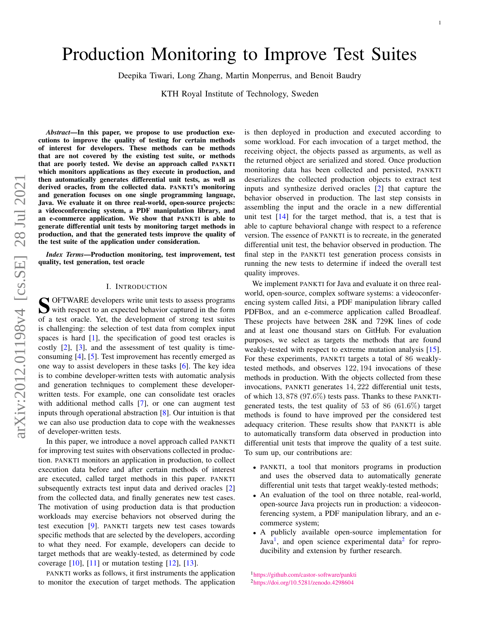# <span id="page-0-2"></span>Production Monitoring to Improve Test Suites

Deepika Tiwari, Long Zhang, Martin Monperrus, and Benoit Baudry

KTH Royal Institute of Technology, Sweden

*Abstract*—In this paper, we propose to use production executions to improve the quality of testing for certain methods of interest for developers. These methods can be methods that are not covered by the existing test suite, or methods that are poorly tested. We devise an approach called PANKTI which monitors applications as they execute in production, and then automatically generates differential unit tests, as well as derived oracles, from the collected data. PANKTI's monitoring and generation focuses on one single programming language, Java. We evaluate it on three real-world, open-source projects: a videoconferencing system, a PDF manipulation library, and an e-commerce application. We show that PANKTI is able to generate differential unit tests by monitoring target methods in production, and that the generated tests improve the quality of the test suite of the application under consideration.

*Index Terms*—Production monitoring, test improvement, test quality, test generation, test oracle

#### I. INTRODUCTION

S OFTWARE developers write unit tests to assess programs<br>with respect to an expected behavior captured in the form with respect to an expected behavior captured in the form of a test oracle. Yet, the development of strong test suites is challenging: the selection of test data from complex input spaces is hard [\[1\]](#page-14-0), the specification of good test oracles is costly [\[2\]](#page-14-1), [\[3\]](#page-14-2), and the assessment of test quality is timeconsuming [\[4\]](#page-14-3), [\[5\]](#page-14-4). Test improvement has recently emerged as one way to assist developers in these tasks [\[6\]](#page-14-5). The key idea is to combine developer-written tests with automatic analysis and generation techniques to complement these developerwritten tests. For example, one can consolidate test oracles with additional method calls [\[7\]](#page-14-6), or one can augment test inputs through operational abstraction [\[8\]](#page-14-7). Our intuition is that we can also use production data to cope with the weaknesses of developer-written tests.

In this paper, we introduce a novel approach called PANKTI for improving test suites with observations collected in production. PANKTI monitors an application in production, to collect execution data before and after certain methods of interest are executed, called target methods in this paper. PANKTI subsequently extracts test input data and derived oracles [\[2\]](#page-14-1) from the collected data, and finally generates new test cases. The motivation of using production data is that production workloads may exercise behaviors not observed during the test execution [\[9\]](#page-14-8). PANKTI targets new test cases towards specific methods that are selected by the developers, according to what they need. For example, developers can decide to target methods that are weakly-tested, as determined by code coverage  $[10]$ ,  $[11]$  or mutation testing  $[12]$ ,  $[13]$ .

PANKTI works as follows, it first instruments the application to monitor the execution of target methods. The application is then deployed in production and executed according to some workload. For each invocation of a target method, the receiving object, the objects passed as arguments, as well as the returned object are serialized and stored. Once production monitoring data has been collected and persisted, PANKTI deserializes the collected production objects to extract test inputs and synthesize derived oracles [\[2\]](#page-14-1) that capture the behavior observed in production. The last step consists in assembling the input and the oracle in a new differential unit test  $[14]$  for the target method, that is, a test that is able to capture behavioral change with respect to a reference version. The essence of PANKTI is to recreate, in the generated differential unit test, the behavior observed in production. The final step in the PANKTI test generation process consists in running the new tests to determine if indeed the overall test quality improves.

We implement PANKTI for Java and evaluate it on three realworld, open-source, complex software systems: a videoconferencing system called Jitsi, a PDF manipulation library called PDFBox, and an e-commerce application called Broadleaf. These projects have between 28K and 729K lines of code and at least one thousand stars on GitHub. For evaluation purposes, we select as targets the methods that are found weakly-tested with respect to extreme mutation analysis [\[15\]](#page-14-14). For these experiments, PANKTI targets a total of 86 weaklytested methods, and observes 122, 194 invocations of these methods in production. With the objects collected from these invocations, PANKTI generates 14, 222 differential unit tests, of which 13, 878 (97.6%) tests pass. Thanks to these PANKTIgenerated tests, the test quality of 53 of 86 (61.6%) target methods is found to have improved per the considered test adequacy criterion. These results show that PANKTI is able to automatically transform data observed in production into differential unit tests that improve the quality of a test suite. To sum up, our contributions are:

- PANKTI, a tool that monitors programs in production and uses the observed data to automatically generate differential unit tests that target weakly-tested methods;
- An evaluation of the tool on three notable, real-world, open-source Java projects run in production: a videoconferencing system, a PDF manipulation library, and an ecommerce system;
- A publicly available open-source implementation for Java<sup>[1](#page-0-0)</sup>, and open science experimental data<sup>[2](#page-0-1)</sup> for reproducibility and extension by further research.

<span id="page-0-1"></span><span id="page-0-0"></span><sup>1</sup><https://github.com/castor-software/pankti> <sup>2</sup><https://doi.org/10.5281/zenodo.4298604>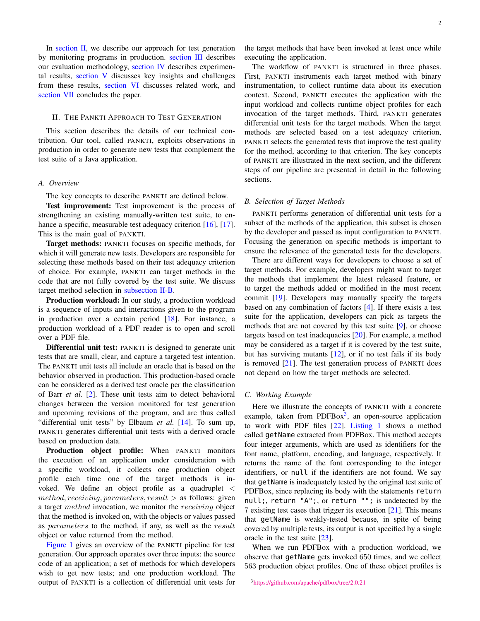In [section II,](#page-1-0) we describe our approach for test generation by monitoring programs in production. [section III](#page-4-0) describes our evaluation methodology, [section IV](#page-6-0) describes experimental results, [section V](#page-10-0) discusses key insights and challenges from these results, [section VI](#page-13-0) discusses related work, and [section VII](#page-14-15) concludes the paper.

# <span id="page-1-0"></span>II. THE PANKTI APPROACH TO TEST GENERATION

This section describes the details of our technical contribution. Our tool, called PANKTI, exploits observations in production in order to generate new tests that complement the test suite of a Java application.

#### *A. Overview*

The key concepts to describe PANKTI are defined below.

Test improvement: Test improvement is the process of strengthening an existing manually-written test suite, to en-hance a specific, measurable test adequacy criterion [\[16\]](#page-14-16), [\[17\]](#page-14-17). This is the main goal of PANKTI.

Target methods: PANKTI focuses on specific methods, for which it will generate new tests. Developers are responsible for selecting these methods based on their test adequacy criterion of choice. For example, PANKTI can target methods in the code that are not fully covered by the test suite. We discuss target method selection in [subsection II-B.](#page-1-1)

Production workload: In our study, a production workload is a sequence of inputs and interactions given to the program in production over a certain period [\[18\]](#page-14-18). For instance, a production workload of a PDF reader is to open and scroll over a PDF file.

Differential unit test: PANKTI is designed to generate unit tests that are small, clear, and capture a targeted test intention. The PANKTI unit tests all include an oracle that is based on the behavior observed in production. This production-based oracle can be considered as a derived test oracle per the classification of Barr *et al.* [\[2\]](#page-14-1). These unit tests aim to detect behavioral changes between the version monitored for test generation and upcoming revisions of the program, and are thus called "differential unit tests" by Elbaum *et al.* [\[14\]](#page-14-13). To sum up, PANKTI generates differential unit tests with a derived oracle based on production data.

Production object profile: When PANKTI monitors the execution of an application under consideration with a specific workload, it collects one production object profile each time one of the target methods is invoked. We define an object profile as a quadruplet <  $method, receiving, parameters, result > as follows: given$ a target method invocation, we monitor the receiving object that the method is invoked on, with the objects or values passed as parameters to the method, if any, as well as the result object or value returned from the method.

[Figure 1](#page-2-0) gives an overview of the PANKTI pipeline for test generation. Our approach operates over three inputs: the source code of an application; a set of methods for which developers wish to get new tests; and one production workload. The output of PANKTI is a collection of differential unit tests for

the target methods that have been invoked at least once while executing the application.

The workflow of PANKTI is structured in three phases. First, PANKTI instruments each target method with binary instrumentation, to collect runtime data about its execution context. Second, PANKTI executes the application with the input workload and collects runtime object profiles for each invocation of the target methods. Third, PANKTI generates differential unit tests for the target methods. When the target methods are selected based on a test adequacy criterion, PANKTI selects the generated tests that improve the test quality for the method, according to that criterion. The key concepts of PANKTI are illustrated in the next section, and the different steps of our pipeline are presented in detail in the following sections.

# <span id="page-1-1"></span>*B. Selection of Target Methods*

PANKTI performs generation of differential unit tests for a subset of the methods of the application, this subset is chosen by the developer and passed as input configuration to PANKTI. Focusing the generation on specific methods is important to ensure the relevance of the generated tests for the developers.

There are different ways for developers to choose a set of target methods. For example, developers might want to target the methods that implement the latest released feature, or to target the methods added or modified in the most recent commit [\[19\]](#page-14-19). Developers may manually specify the targets based on any combination of factors [\[4\]](#page-14-3). If there exists a test suite for the application, developers can pick as targets the methods that are not covered by this test suite [\[9\]](#page-14-8), or choose targets based on test inadequacies [\[20\]](#page-15-0). For example, a method may be considered as a target if it is covered by the test suite, but has surviving mutants [\[12\]](#page-14-11), or if no test fails if its body is removed [\[21\]](#page-15-1). The test generation process of PANKTI does not depend on how the target methods are selected.

#### *C. Working Example*

Here we illustrate the concepts of PANKTI with a concrete example, taken from PDFBox<sup>[3](#page-1-2)</sup>, an open-source application to work with PDF files [\[22\]](#page-15-2). [Listing 1](#page-2-1) shows a method called getName extracted from PDFBox. This method accepts four integer arguments, which are used as identifiers for the font name, platform, encoding, and language, respectively. It returns the name of the font corresponding to the integer identifiers, or null if the identifiers are not found. We say that getName is inadequately tested by the original test suite of PDFBox, since replacing its body with the statements return null;, return "A";, or return ""; is undetected by the 7 existing test cases that trigger its execution [\[21\]](#page-15-1). This means that getName is weakly-tested because, in spite of being covered by multiple tests, its output is not specified by a single oracle in the test suite [\[23\]](#page-15-3).

When we run PDFBox with a production workload, we observe that getName gets invoked 650 times, and we collect 563 production object profiles. One of these object profiles is

<span id="page-1-2"></span><sup>3</sup><https://github.com/apache/pdfbox/tree/2.0.21>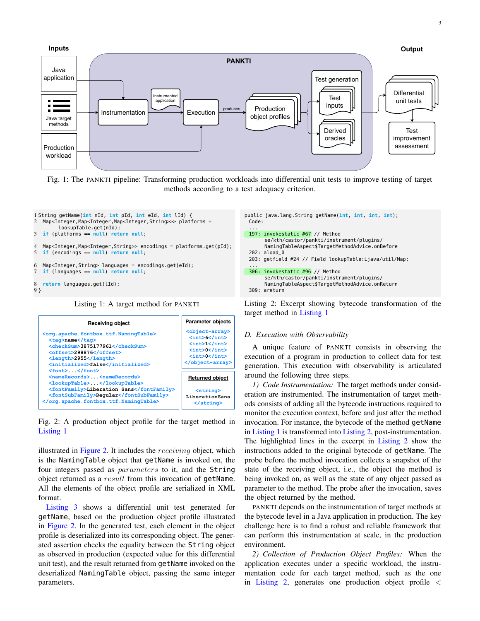<span id="page-2-0"></span>

Fig. 1: The PANKTI pipeline: Transforming production workloads into differential unit tests to improve testing of target methods according to a test adequacy criterion.

<span id="page-2-1"></span>

<span id="page-2-2"></span>

Fig. 2: A production object profile for the target method in [Listing 1](#page-2-1)

illustrated in [Figure 2.](#page-2-2) It includes the  $receiving$  object, which is the NamingTable object that getName is invoked on, the four integers passed as parameters to it, and the String object returned as a result from this invocation of getName. All the elements of the object profile are serialized in XML format.

[Listing 3](#page-3-0) shows a differential unit test generated for getName, based on the production object profile illustrated in [Figure 2.](#page-2-2) In the generated test, each element in the object profile is deserialized into its corresponding object. The generated assertion checks the equality between the String object as observed in production (expected value for this differential unit test), and the result returned from getName invoked on the deserialized NamingTable object, passing the same integer parameters.

<span id="page-2-3"></span>

Listing 2: Excerpt showing bytecode transformation of the target method in [Listing 1](#page-2-1)

#### *D. Execution with Observability*

A unique feature of PANKTI consists in observing the execution of a program in production to collect data for test generation. This execution with observability is articulated around the following three steps.

*1) Code Instrumentation:* The target methods under consideration are instrumented. The instrumentation of target methods consists of adding all the bytecode instructions required to monitor the execution context, before and just after the method invocation. For instance, the bytecode of the method getName in [Listing 1](#page-2-1) is transformed into [Listing 2,](#page-2-3) post-instrumentation. The highlighted lines in the excerpt in [Listing 2](#page-2-3) show the instructions added to the original bytecode of getName. The probe before the method invocation collects a snapshot of the state of the receiving object, i.e., the object the method is being invoked on, as well as the state of any object passed as parameter to the method. The probe after the invocation, saves the object returned by the method.

PANKTI depends on the instrumentation of target methods at the bytecode level in a Java application in production. The key challenge here is to find a robust and reliable framework that can perform this instrumentation at scale, in the production environment.

*2) Collection of Production Object Profiles:* When the application executes under a specific workload, the instrumentation code for each target method, such as the one in [Listing 2,](#page-2-3) generates one production object profile <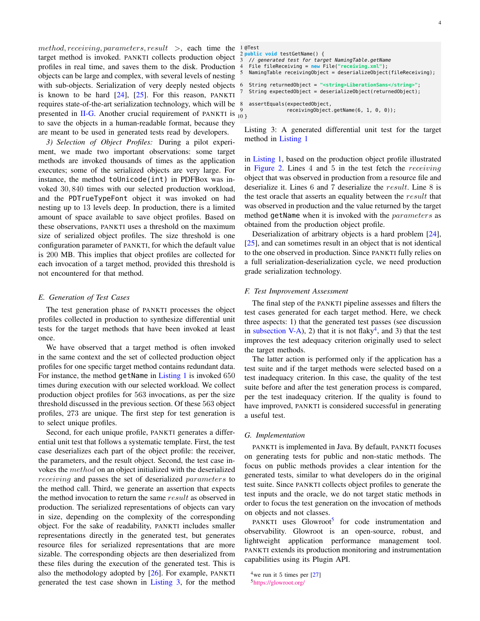method, receiving, parameters, result >, each time the  $1$ <sup>@Test</sup> target method is invoked. PANKTI collects production object profiles in real time, and saves them to the disk. Production objects can be large and complex, with several levels of nesting with sub-objects. Serialization of very deeply nested objects is known to be hard  $[24]$ ,  $[25]$ . For this reason, PANKTI requires state-of-the-art serialization technology, which will be presented in [II-G.](#page-3-1) Another crucial requirement of PANKTI is  $^{9}_{10}$  } to save the objects in a human-readable format, because they are meant to be used in generated tests read by developers.

<span id="page-3-4"></span>*3) Selection of Object Profiles:* During a pilot experiment, we made two important observations: some target methods are invoked thousands of times as the application executes; some of the serialized objects are very large. For instance, the method toUnicode(int) in PDFBox was invoked 30, 840 times with our selected production workload, and the PDTrueTypeFont object it was invoked on had nesting up to 13 levels deep. In production, there is a limited amount of space available to save object profiles. Based on these observations, PANKTI uses a threshold on the maximum size of serialized object profiles. The size threshold is one configuration parameter of PANKTI, for which the default value is 200 MB. This implies that object profiles are collected for each invocation of a target method, provided this threshold is not encountered for that method.

# <span id="page-3-5"></span>*E. Generation of Test Cases*

The test generation phase of PANKTI processes the object profiles collected in production to synthesize differential unit tests for the target methods that have been invoked at least once.

We have observed that a target method is often invoked in the same context and the set of collected production object profiles for one specific target method contains redundant data. For instance, the method getName in [Listing 1](#page-2-1) is invoked 650 times during execution with our selected workload. We collect production object profiles for 563 invocations, as per the size threshold discussed in the previous section. Of these 563 object profiles, 273 are unique. The first step for test generation is to select unique profiles.

Second, for each unique profile, PANKTI generates a differential unit test that follows a systematic template. First, the test case deserializes each part of the object profile: the receiver, the parameters, and the result object. Second, the test case invokes the method on an object initialized with the deserialized receiving and passes the set of deserialized parameters to the method call. Third, we generate an assertion that expects the method invocation to return the same result as observed in production. The serialized representations of objects can vary in size, depending on the complexity of the corresponding object. For the sake of readability, PANKTI includes smaller representations directly in the generated test, but generates resource files for serialized representations that are more sizable. The corresponding objects are then deserialized from these files during the execution of the generated test. This is also the methodology adopted by [\[26\]](#page-15-6). For example, PANKTI generated the test case shown in [Listing 3,](#page-3-0) for the method

```
2 public void testGetName() {
  3 // generated test for target NamingTable.getName
4 File fileReceiving = new File("receiving.xml");
  NamingTable receivingObject = deserializeObject(fileReceiving);
  6 String returnedObject = "<string>LiberationSans</string>";
   String expectedObject = deserializeObject(returnedObject);
8 assertEquals(expectedObject,
                receivingObject.getName(6, 1, 0, 0));
```
Listing 3: A generated differential unit test for the target method in [Listing 1](#page-2-1)

in [Listing 1,](#page-2-1) based on the production object profile illustrated in [Figure 2.](#page-2-2) Lines 4 and 5 in the test fetch the *receiving* object that was observed in production from a resource file and deserialize it. Lines 6 and 7 deserialize the result. Line 8 is the test oracle that asserts an equality between the result that was observed in production and the value returned by the target method getName when it is invoked with the parameters as obtained from the production object profile.

Deserialization of arbitrary objects is a hard problem [\[24\]](#page-15-4), [\[25\]](#page-15-5), and can sometimes result in an object that is not identical to the one observed in production. Since PANKTI fully relies on a full serialization-deserialization cycle, we need production grade serialization technology.

#### *F. Test Improvement Assessment*

The final step of the PANKTI pipeline assesses and filters the test cases generated for each target method. Here, we check three aspects: 1) that the generated test passes (see discussion in [subsection V-A\)](#page-10-1), 2) that it is not flaky<sup>[4](#page-3-2)</sup>, and 3) that the test improves the test adequacy criterion originally used to select the target methods.

The latter action is performed only if the application has a test suite and if the target methods were selected based on a test inadequacy criterion. In this case, the quality of the test suite before and after the test generation process is compared, per the test inadequacy criterion. If the quality is found to have improved, PANKTI is considered successful in generating a useful test.

#### <span id="page-3-1"></span>*G. Implementation*

PANKTI is implemented in Java. By default, PANKTI focuses on generating tests for public and non-static methods. The focus on public methods provides a clear intention for the generated tests, similar to what developers do in the original test suite. Since PANKTI collects object profiles to generate the test inputs and the oracle, we do not target static methods in order to focus the test generation on the invocation of methods on objects and not classes.

PANKTI uses Glowroot<sup>[5](#page-3-3)</sup> for code instrumentation and observability. Glowroot is an open-source, robust, and lightweight application performance management tool. PANKTI extends its production monitoring and instrumentation capabilities using its Plugin API.

<span id="page-3-3"></span><span id="page-3-2"></span><sup>&</sup>lt;sup>4</sup>we run it 5 times per  $[27]$ <sup>5</sup><https://glowroot.org/>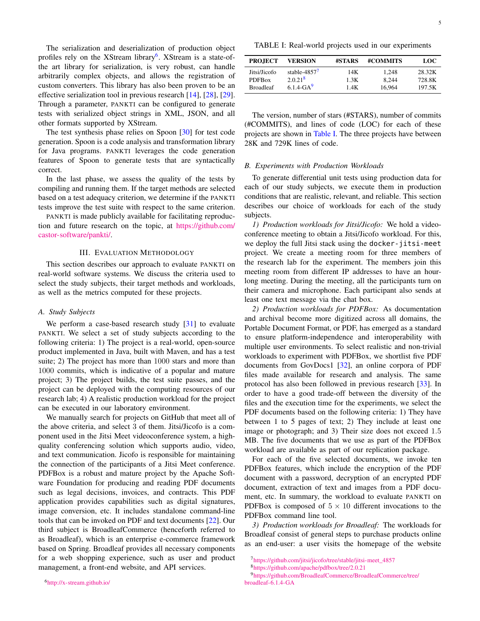The serialization and deserialization of production object profiles rely on the XStream library<sup>[6](#page-4-1)</sup>. XStream is a state-ofthe art library for serialization, is very robust, can handle arbitrarily complex objects, and allows the registration of custom converters. This library has also been proven to be an effective serialization tool in previous research [\[14\]](#page-14-13), [\[28\]](#page-15-8), [\[29\]](#page-15-9). Through a parameter, PANKTI can be configured to generate tests with serialized object strings in XML, JSON, and all other formats supported by XStream.

The test synthesis phase relies on Spoon [\[30\]](#page-15-10) for test code generation. Spoon is a code analysis and transformation library for Java programs. PANKTI leverages the code generation features of Spoon to generate tests that are syntactically correct.

In the last phase, we assess the quality of the tests by compiling and running them. If the target methods are selected based on a test adequacy criterion, we determine if the PANKTI tests improve the test suite with respect to the same criterion.

PANKTI is made publicly available for facilitating reproduction and future research on the topic, at [https://github.com/](https://github.com/castor-software/pankti/) [castor-software/pankti/.](https://github.com/castor-software/pankti/)

## III. EVALUATION METHODOLOGY

<span id="page-4-0"></span>This section describes our approach to evaluate PANKTI on real-world software systems. We discuss the criteria used to select the study subjects, their target methods and workloads, as well as the metrics computed for these projects.

#### *A. Study Subjects*

We perform a case-based research study [\[31\]](#page-15-11) to evaluate PANKTI. We select a set of study subjects according to the following criteria: 1) The project is a real-world, open-source product implemented in Java, built with Maven, and has a test suite; 2) The project has more than 1000 stars and more than 1000 commits, which is indicative of a popular and mature project; 3) The project builds, the test suite passes, and the project can be deployed with the computing resources of our research lab; 4) A realistic production workload for the project can be executed in our laboratory environment.

<span id="page-4-1"></span>We manually search for projects on GitHub that meet all of the above criteria, and select 3 of them. Jitsi/Jicofo is a component used in the Jitsi Meet videoconference system, a highquality conferencing solution which supports audio, video, and text communication. Jicofo is responsible for maintaining the connection of the participants of a Jitsi Meet conference. PDFBox is a robust and mature project by the Apache Software Foundation for producing and reading PDF documents such as legal decisions, invoices, and contracts. This PDF application provides capabilities such as digital signatures, image conversion, etc. It includes standalone command-line tools that can be invoked on PDF and text documents [\[22\]](#page-15-2). Our third subject is BroadleafCommerce (henceforth referred to as Broadleaf), which is an enterprise e-commerce framework based on Spring. Broadleaf provides all necessary components for a web shopping experience, such as user and product management, a front-end website, and API services.

<span id="page-4-2"></span>

| <b>PROJECT</b>   | VERSION         | #STARS | #COMMITS | LOC    |
|------------------|-----------------|--------|----------|--------|
| Jitsi/Jicofo     | stable- $48577$ | 14K    | 1.248    | 28.32K |
| <b>PDFBox</b>    | $2.0.21^{8}$    | 1.3K   | 8.244    | 728.8K |
| <b>Broadleaf</b> | $6.1.4 - GA9$   | 1.4K   | 16.964   | 197.5K |

The version, number of stars (#STARS), number of commits (#COMMITS), and lines of code (LOC) for each of these projects are shown in [Table I.](#page-4-2) The three projects have between 28K and 729K lines of code.

## <span id="page-4-3"></span>*B. Experiments with Production Workloads*

To generate differential unit tests using production data for each of our study subjects, we execute them in production conditions that are realistic, relevant, and reliable. This section describes our choice of workloads for each of the study subjects.

*1) Production workloads for Jitsi/Jicofo:* We hold a videoconference meeting to obtain a Jitsi/Jicofo workload. For this, we deploy the full Jitsi stack using the docker-jitsi-meet project. We create a meeting room for three members of the research lab for the experiment. The members join this meeting room from different IP addresses to have an hourlong meeting. During the meeting, all the participants turn on their camera and microphone. Each participant also sends at least one text message via the chat box.

<span id="page-4-4"></span>*2) Production workloads for PDFBox:* As documentation and archival become more digitized across all domains, the Portable Document Format, or PDF, has emerged as a standard to ensure platform-independence and interoperability with multiple user environments. To select realistic and non-trivial workloads to experiment with PDFBox, we shortlist five PDF documents from GovDocs1 [\[32\]](#page-15-12), an online corpora of PDF files made available for research and analysis. The same protocol has also been followed in previous research [\[33\]](#page-15-13). In order to have a good trade-off between the diversity of the files and the execution time for the experiments, we select the PDF documents based on the following criteria: 1) They have between 1 to 5 pages of text; 2) They include at least one image or photograph; and 3) Their size does not exceed 1.5 MB. The five documents that we use as part of the PDFBox workload are available as part of our replication package.

For each of the five selected documents, we invoke ten PDFBox features, which include the encryption of the PDF document with a password, decryption of an encrypted PDF document, extraction of text and images from a PDF document, etc. In summary, the workload to evaluate PANKTI on PDFBox is composed of  $5 \times 10$  different invocations to the PDFBox command line tool.

*3) Production workloads for Broadleaf:* The workloads for Broadleaf consist of general steps to purchase products online as an end-user: a user visits the homepage of the website

<sup>7</sup>[https://github.com/jitsi/jicofo/tree/stable/jitsi-meet\\_4857](https://github.com/jitsi/jicofo/tree/stable/jitsi-meet_4857) <sup>8</sup><https://github.com/apache/pdfbox/tree/2.0.21>

<sup>9</sup>[https://github.com/BroadleafCommerce/BroadleafCommerce/tree/](https://github.com/BroadleafCommerce/BroadleafCommerce/tree/broadleaf-6.1.4-GA) [broadleaf-6.1.4-GA](https://github.com/BroadleafCommerce/BroadleafCommerce/tree/broadleaf-6.1.4-GA)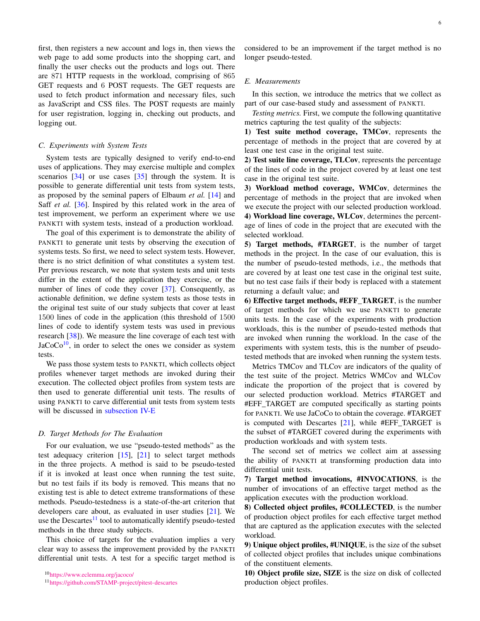first, then registers a new account and logs in, then views the web page to add some products into the shopping cart, and finally the user checks out the products and logs out. There are 871 HTTP requests in the workload, comprising of 865 GET requests and 6 POST requests. The GET requests are used to fetch product information and necessary files, such as JavaScript and CSS files. The POST requests are mainly for user registration, logging in, checking out products, and logging out.

# <span id="page-5-3"></span>*C. Experiments with System Tests*

System tests are typically designed to verify end-to-end uses of applications. They may exercise multiple and complex scenarios  $[34]$  or use cases  $[35]$  through the system. It is possible to generate differential unit tests from system tests, as proposed by the seminal papers of Elbaum *et al.* [\[14\]](#page-14-13) and Saff *et al.* [\[36\]](#page-15-16). Inspired by this related work in the area of test improvement, we perform an experiment where we use PANKTI with system tests, instead of a production workload.

The goal of this experiment is to demonstrate the ability of PANKTI to generate unit tests by observing the execution of systems tests. So first, we need to select system tests. However, there is no strict definition of what constitutes a system test. Per previous research, we note that system tests and unit tests differ in the extent of the application they exercise, or the number of lines of code they cover [\[37\]](#page-15-17). Consequently, as actionable definition, we define system tests as those tests in the original test suite of our study subjects that cover at least 1500 lines of code in the application (this threshold of 1500 lines of code to identify system tests was used in previous research [\[38\]](#page-15-18)). We measure the line coverage of each test with  $Jac_0C_0^{10}$  $Jac_0C_0^{10}$  $Jac_0C_0^{10}$ , in order to select the ones we consider as system tests.

We pass those system tests to PANKTI, which collects object profiles whenever target methods are invoked during their execution. The collected object profiles from system tests are then used to generate differential unit tests. The results of using PANKTI to carve differential unit tests from system tests will be discussed in [subsection IV-E](#page-10-2)

# <span id="page-5-4"></span>*D. Target Methods for The Evaluation*

For our evaluation, we use "pseudo-tested methods" as the test adequacy criterion  $[15]$ ,  $[21]$  to select target methods in the three projects. A method is said to be pseudo-tested if it is invoked at least once when running the test suite, but no test fails if its body is removed. This means that no existing test is able to detect extreme transformations of these methods. Pseudo-testedness is a state-of-the-art criterion that developers care about, as evaluated in user studies [\[21\]](#page-15-1). We use the Descartes<sup>[11](#page-5-1)</sup> tool to automatically identify pseudo-tested methods in the three study subjects.

This choice of targets for the evaluation implies a very clear way to assess the improvement provided by the PANKTI differential unit tests. A test for a specific target method is

<span id="page-5-1"></span><sup>11</sup><https://github.com/STAMP-project/pitest-descartes>

considered to be an improvement if the target method is no longer pseudo-tested.

# <span id="page-5-2"></span>*E. Measurements*

In this section, we introduce the metrics that we collect as part of our case-based study and assessment of PANKTI.

*Testing metrics.* First, we compute the following quantitative metrics capturing the test quality of the subjects:

1) Test suite method coverage, TMCov, represents the percentage of methods in the project that are covered by at least one test case in the original test suite.

2) Test suite line coverage, TLCov, represents the percentage of the lines of code in the project covered by at least one test case in the original test suite.

3) Workload method coverage, WMCov, determines the percentage of methods in the project that are invoked when we execute the project with our selected production workload. 4) Workload line coverage, WLCov, determines the percentage of lines of code in the project that are executed with the selected workload.

5) Target methods, #TARGET, is the number of target methods in the project. In the case of our evaluation, this is the number of pseudo-tested methods, i.e., the methods that are covered by at least one test case in the original test suite, but no test case fails if their body is replaced with a statement returning a default value; and

6) Effective target methods, #EFF\_TARGET, is the number of target methods for which we use PANKTI to generate units tests. In the case of the experiments with production workloads, this is the number of pseudo-tested methods that are invoked when running the workload. In the case of the experiments with system tests, this is the number of pseudotested methods that are invoked when running the system tests.

Metrics TMCov and TLCov are indicators of the quality of the test suite of the project. Metrics WMCov and WLCov indicate the proportion of the project that is covered by our selected production workload. Metrics #TARGET and #EFF\_TARGET are computed specifically as starting points for PANKTI. We use JaCoCo to obtain the coverage. #TARGET is computed with Descartes [\[21\]](#page-15-1), while #EFF\_TARGET is the subset of #TARGET covered during the experiments with production workloads and with system tests.

The second set of metrics we collect aim at assessing the ability of PANKTI at transforming production data into differential unit tests.

7) Target method invocations, #INVOCATIONS, is the number of invocations of an effective target method as the application executes with the production workload.

8) Collected object profiles, #COLLECTED, is the number of production object profiles for each effective target method that are captured as the application executes with the selected workload.

9) Unique object profiles, #UNIQUE, is the size of the subset of collected object profiles that includes unique combinations of the constituent elements.

10) Object profile size, SIZE is the size on disk of collected production object profiles.

<span id="page-5-0"></span><sup>10</sup><https://www.eclemma.org/jacoco/>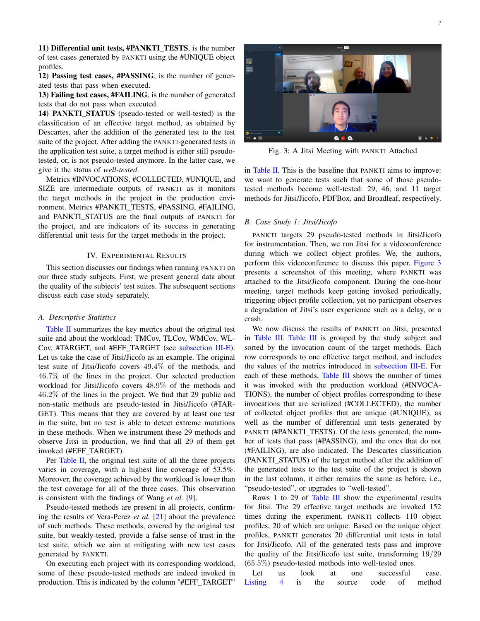11) Differential unit tests, #PANKTI\_TESTS, is the number of test cases generated by PANKTI using the #UNIQUE object profiles.

12) Passing test cases, #PASSING, is the number of generated tests that pass when executed.

13) Failing test cases, #FAILING, is the number of generated tests that do not pass when executed.

14) **PANKTI STATUS** (pseudo-tested or well-tested) is the classification of an effective target method, as obtained by Descartes, after the addition of the generated test to the test suite of the project. After adding the PANKTI-generated tests in the application test suite, a target method is either still pseudotested, or, is not pseudo-tested anymore. In the latter case, we give it the status of *well-tested*.

Metrics #INVOCATIONS, #COLLECTED, #UNIQUE, and SIZE are intermediate outputs of PANKTI as it monitors the target methods in the project in the production environment. Metrics #PANKTI\_TESTS, #PASSING, #FAILING, and PANKTI\_STATUS are the final outputs of PANKTI for the project, and are indicators of its success in generating differential unit tests for the target methods in the project.

## IV. EXPERIMENTAL RESULTS

<span id="page-6-0"></span>This section discusses our findings when running PANKTI on our three study subjects. First, we present general data about the quality of the subjects' test suites. The subsequent sections discuss each case study separately.

#### *A. Descriptive Statistics*

[Table II](#page-7-0) summarizes the key metrics about the original test suite and about the workload: TMCov, TLCov, WMCov, WL-Cov, #TARGET, and #EFF\_TARGET (see [subsection III-E\)](#page-5-2). Let us take the case of Jitsi/Jicofo as an example. The original test suite of Jitsi/Jicofo covers 49.4% of the methods, and 46.7% of the lines in the project. Our selected production workload for Jitsi/Jicofo covers 48.9% of the methods and 46.2% of the lines in the project. We find that 29 public and non-static methods are pseudo-tested in Jitsi/Jicofo (#TAR-GET). This means that they are covered by at least one test in the suite, but no test is able to detect extreme mutations in these methods. When we instrument these 29 methods and observe Jitsi in production, we find that all 29 of them get invoked (#EFF\_TARGET).

Per [Table II,](#page-7-0) the original test suite of all the three projects varies in coverage, with a highest line coverage of 53.5%. Moreover, the coverage achieved by the workload is lower than the test coverage for all of the three cases. This observation is consistent with the findings of Wang *et al.* [\[9\]](#page-14-8).

Pseudo-tested methods are present in all projects, confirming the results of Vera-Perez *et al.* [\[21\]](#page-15-1) about the prevalence of such methods. These methods, covered by the original test suite, but weakly-tested, provide a false sense of trust in the test suite, which we aim at mitigating with new test cases generated by PANKTI.

On executing each project with its corresponding workload, some of these pseudo-tested methods are indeed invoked in production. This is indicated by the column "#EFF\_TARGET"

<span id="page-6-1"></span>

Fig. 3: A Jitsi Meeting with PANKTI Attached

in [Table II.](#page-7-0) This is the baseline that PANKTI aims to improve: we want to generate tests such that some of those pseudotested methods become well-tested: 29, 46, and 11 target methods for Jitsi/Jicofo, PDFBox, and Broadleaf, respectively.

#### <span id="page-6-2"></span>*B. Case Study 1: Jitsi/Jicofo*

PANKTI targets 29 pseudo-tested methods in Jitsi/Jicofo for instrumentation. Then, we run Jitsi for a videoconference during which we collect object profiles. We, the authors, perform this videoconference to discuss this paper. [Figure 3](#page-6-1) presents a screenshot of this meeting, where PANKTI was attached to the Jitsi/Jicofo component. During the one-hour meeting, target methods keep getting invoked periodically, triggering object profile collection, yet no participant observes a degradation of Jitsi's user experience such as a delay, or a crash.

We now discuss the results of PANKTI on Jitsi, presented in [Table III.](#page-8-0) [Table III](#page-8-0) is grouped by the study subject and sorted by the invocation count of the target methods. Each row corresponds to one effective target method, and includes the values of the metrics introduced in [subsection III-E.](#page-5-2) For each of these methods, [Table III](#page-8-0) shows the number of times it was invoked with the production workload (#INVOCA-TIONS), the number of object profiles corresponding to these invocations that are serialized (#COLLECTED), the number of collected object profiles that are unique (#UNIQUE), as well as the number of differential unit tests generated by PANKTI (#PANKTI\_TESTS). Of the tests generated, the number of tests that pass (#PASSING), and the ones that do not (#FAILING), are also indicated. The Descartes classification (PANKTI\_STATUS) of the target method after the addition of the generated tests to the test suite of the project is shown in the last column, it either remains the same as before, i.e., "pseudo-tested", or upgrades to "well-tested".

Rows 1 to 29 of [Table III](#page-8-0) show the experimental results for Jitsi. The 29 effective target methods are invoked 152 times during the experiment. PANKTI collects 110 object profiles, 20 of which are unique. Based on the unique object profiles, PANKTI generates 20 differential unit tests in total for Jitsi/Jicofo. All of the generated tests pass and improve the quality of the Jitsi/Jicofo test suite, transforming 19/29 (65.5%) pseudo-tested methods into well-tested ones.

Let us look at one successful case. [Listing 4](#page-7-1) is the source code of method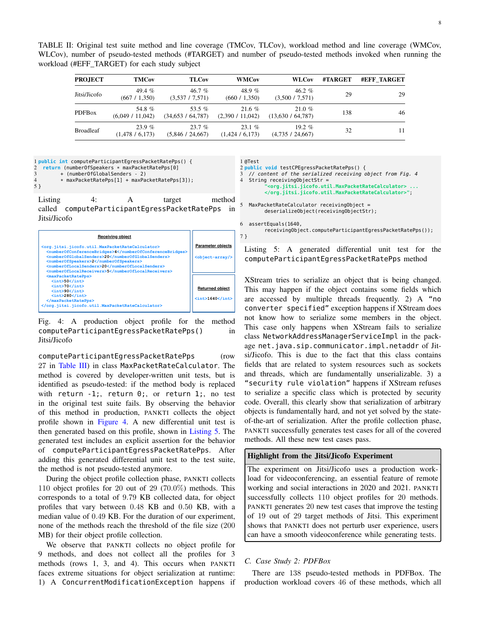8

<span id="page-7-0"></span>TABLE II: Original test suite method and line coverage (TMCov, TLCov), workload method and line coverage (WMCov, WLCov), number of pseudo-tested methods (#TARGET) and number of pseudo-tested methods invoked when running the workload (#EFF\_TARGET) for each study subject

| <b>PROJECT</b>   | <b>TMCov</b>              | <b>TLCov</b>                  | <b>WMCov</b>              | <b>WLCov</b>                   | #TARGET | <b>#EFF TARGET</b> |
|------------------|---------------------------|-------------------------------|---------------------------|--------------------------------|---------|--------------------|
| Jitsi/Jicofo     | 49.4 $%$<br>(667 / 1,350) | 46.7%<br>(3,537/7,571)        | 48.9 %<br>(660 / 1,350)   | 46.2 $%$<br>(3,500 / 7,571)    | 29      | 29                 |
| <b>PDFBox</b>    | 54.8%<br>(6,049 / 11,042) | 53.5 $%$<br>(34,653 / 64,787) | 21.6%<br>(2,390 / 11,042) | $21.0 \%$<br>(13,630 / 64,787) | 138     | 46                 |
| <b>Broadleaf</b> | 23.9%<br>(1,478/6,173)    | 23.7%<br>(5,846 / 24,667)     | 23.1%<br>(1,424/6,173)    | 19.2 $%$<br>(4,735/24,667)     | 32      | 11                 |

<span id="page-7-1"></span>1 **public int** computeParticipantEgressPacketRatePps() {

- 2 **return** (numberOfSpeakers \* maxPacketRatePps[0]
- 3 + (numberOfGlobalSenders 2) maxPacketRatePps[1] + maxPacketRatePps[3]);

5 }

Listing 4: A target method

called computeParticipantEgressPacketRatePps in Jitsi/Jicofo

<span id="page-7-2"></span>

| <b>Receiving object</b>                                                                                                                                 |                                                 |
|---------------------------------------------------------------------------------------------------------------------------------------------------------|-------------------------------------------------|
| <org.jitsi.jicofo.util.maxpacketratecalculator></org.jitsi.jicofo.util.maxpacketratecalculator>                                                         | <b>Parameter objects</b>                        |
| <numberofconferencebridges>4</numberofconferencebridges><br><numberofglobalsenders>20</numberofglobalsenders><br><numberofspeakers>2</numberofspeakers> | <object-array></object-array>                   |
| <numberoflocalsenders>20</numberoflocalsenders><br><numberoflocalreceivers>5</numberoflocalreceivers>                                                   |                                                 |
| <maxpacketratepps><br/><math>\frac{\text{int}}{\text{50}}</math></maxpacketratepps>                                                                     |                                                 |
| $\frac{\text{int}>70}{\text{int}}>$<br>$\frac{\sin\frac{1}{2}}{\sin\frac{1}{2}}$                                                                        | <b>Returned object</b>                          |
| $\langle$ int>280<br>                                                                                                                                   | $\frac{\text{int}\left 640\right }{\text{int}}$ |
|                                                                                                                                                         |                                                 |

Fig. 4: A production object profile for the method computeParticipantEgressPacketRatePps() in Jitsi/Jicofo

computeParticipantEgressPacketRatePps (row 27 in [Table III\)](#page-8-0) in class MaxPacketRateCalculator. The method is covered by developer-written unit tests, but is identified as pseudo-tested: if the method body is replaced with return  $-1$ ;, return  $0$ ;, or return  $1$ ;, no test in the original test suite fails. By observing the behavior of this method in production, PANKTI collects the object profile shown in [Figure 4.](#page-7-2) A new differential unit test is then generated based on this profile, shown in [Listing 5.](#page-7-3) The generated test includes an explicit assertion for the behavior of computeParticipantEgressPacketRatePps. After adding this generated differential unit test to the test suite, the method is not pseudo-tested anymore.

During the object profile collection phase, PANKTI collects 110 object profiles for 20 out of 29 (70.0%) methods. This corresponds to a total of 9.79 KB collected data, for object profiles that vary between 0.48 KB and 0.50 KB, with a median value of 0.49 KB. For the duration of our experiment, none of the methods reach the threshold of the file size (200 MB) for their object profile collection.

We observe that PANKTI collects no object profile for 9 methods, and does not collect all the profiles for 3 methods (rows 1, 3, and 4). This occurs when PANKTI faces extreme situations for object serialization at runtime: 1) A ConcurrentModificationException happens if

<span id="page-7-3"></span>1 @Test

- 2 **public void** testCPEgressPacketRatePps() {
- // content of the serialized receiving object from Fig. 4  $String$  receivingObjectStr =

**"<org.jitsi.jicofo.util.MaxPacketRateCalculator> ... </org.jitsi.jicofo.util.MaxPacketRateCalculator>"**;

5 MaxPacketRateCalculator receivingObject =

deserializeObject(receivingObjectStr);

6 assertEquals(1640, receivingObject.computeParticipantEgressPacketRatePps()); 7 }

Listing 5: A generated differential unit test for the computeParticipantEgressPacketRatePps method

XStream tries to serialize an object that is being changed. This may happen if the object contains some fields which are accessed by multiple threads frequently. 2) A "no converter specified" exception happens if XStream does not know how to serialize some members in the object. This case only happens when XStream fails to serialize class NetworkAddressManagerServiceImpl in the package net.java.sip.communicator.impl.netaddr of Jitsi/Jicofo. This is due to the fact that this class contains fields that are related to system resources such as sockets and threads, which are fundamentally unserializable. 3) a "security rule violation" happens if XStream refuses to serialize a specific class which is protected by security code. Overall, this clearly show that serialization of arbitrary objects is fundamentally hard, and not yet solved by the stateof-the-art of serialization. After the profile collection phase, PANKTI successfully generates test cases for all of the covered methods. All these new test cases pass.

# Highlight from the Jitsi/Jicofo Experiment

The experiment on Jitsi/Jicofo uses a production workload for videoconferencing, an essential feature of remote working and social interactions in 2020 and 2021. PANKTI successfully collects 110 object profiles for 20 methods. PANKTI generates 20 new test cases that improve the testing of 19 out of 29 target methods of Jitsi. This experiment shows that PANKTI does not perturb user experience, users can have a smooth videoconference while generating tests.

# <span id="page-7-4"></span>*C. Case Study 2: PDFBox*

There are 138 pseudo-tested methods in PDFBox. The production workload covers 46 of these methods, which all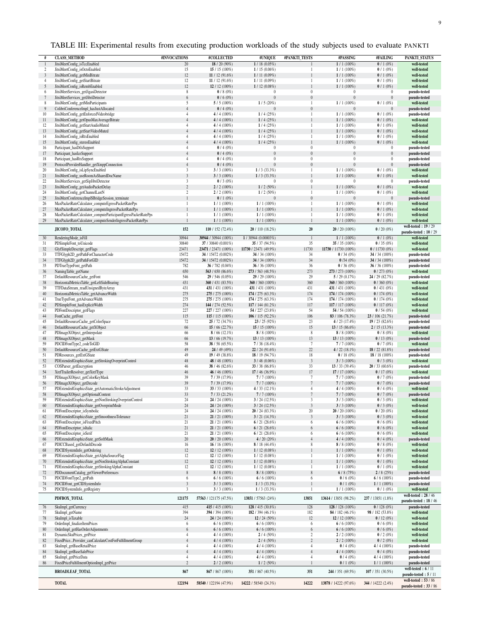| TABLE III: Experimental results from executing production workloads of the study subjects used to evaluate PANKTI |  |  |  |  |
|-------------------------------------------------------------------------------------------------------------------|--|--|--|--|
|-------------------------------------------------------------------------------------------------------------------|--|--|--|--|

<span id="page-8-0"></span>

|                | <b>CLASS METHOD</b>                                                             | #INVOCATIONS   | #COLLECTED                        | #UNIQUE                    | #PANKTI_TESTS     | #PASSING                     | #FAILING              | PANKTI_STATUS                               |
|----------------|---------------------------------------------------------------------------------|----------------|-----------------------------------|----------------------------|-------------------|------------------------------|-----------------------|---------------------------------------------|
|                | JitsiMeetConfig_isTccEnabled                                                    | 20             | $18/20(90\%)$                     | 1/18(0.05%)                |                   | $1/1(100\%)$                 | $\frac{1}{1}$ (0%)    | well-tested                                 |
| $\overline{c}$ | JitsiMeetConfig_isOctoEnabled                                                   | 15<br>12       | 15 / 15 (100%)                    | $1/15(0.06\%)$             | 1<br>$\mathbf{1}$ | $1/1(100\%)$                 | 0/1(0%                | well-tested                                 |
| 3              | JitsiMeetConfig_getMinBitrate                                                   |                | 11 / 12 (91.6%)                   | $1/11(0.09\%)$             | $\mathbf{1}$      | $1/1(100\%)$                 | 0/1(0%                | well-tested                                 |
| 4<br>5         | JitsiMeetConfig_getStartBitrate<br>JitsiMeetConfig_isRembEnabled                | 12<br>12       | 11 / 12 (91.6%)<br>12 / 12 (100%) | 1/11(0.09%)<br>1/12(0.08%) | $\mathbf{1}$      | $1/1(100\%)$<br>$1/1(100\%)$ | 0/1(0%<br>0/1(0%      | well-tested<br>well-tested                  |
| 6              | JitsiMeetServices_getJigasiDetector                                             | 8              | $0/8(0\%)$                        |                            | $\boldsymbol{0}$  | $\theta$                     | $\theta$              | pseudo-tested                               |
|                | JitsiMeetServices getJibriDetector                                              | 6              | $0/6(0\%)$                        | $\theta$                   | $\boldsymbol{0}$  | $\mathbf{0}$                 | $\bf{0}$              | pseudo-tested                               |
| 8              | JitsiMeetConfig_getMinParticipants                                              | 5              | 5/5(100%)                         | 1/5(20%)                   | $\mathbf{1}$      | $1/1(100\%)$                 | 0/1(0%)               | well-tested                                 |
| 9              | ColibriConferenceImpl_hasJustAllocated                                          | $\overline{4}$ | 0/4(0%)                           |                            | $\overline{0}$    |                              | $\theta$              | pseudo-tested                               |
| 10             | JitsiMeetConfig_getEnforcedVideobridge                                          | $\overline{4}$ | $4/4(100\%)$                      | 1/4(25%)                   | 1                 | $1/1(100\%)$                 | 0/1(0%)               | pseudo-tested                               |
| 11             | JitsiMeetConfig_getOpusMaxAverageBitrate                                        | $\overline{4}$ | $4/4(100\%)$                      | 1/4(25%)                   | $\mathbf{1}$      | $1/1(100\%)$                 | 0/1(0%                | well-tested                                 |
| 12             | JitsiMeetConfig_getStartAudioMuted                                              | $\overline{4}$ | $4/4(100\%)$                      | 1/4(25%)                   | $\mathbf{1}$      | $1/1(100\%)$                 | 0/1(0%                | well-tested                                 |
| 13             | JitsiMeetConfig_getStartVideoMuted                                              |                | $4/4(100\%)$                      | 1/4(25%)                   | $\mathbf{1}$      | $1/1(100\%)$                 | 0/1(0%                | well-tested                                 |
| 14             | JitsiMeetConfig_isRtxEnabled                                                    | $\overline{4}$ | $4/4(100\%)$                      | 1/4(25%)                   | $\mathbf{1}$      | $1/1(100\%)$                 | 0/1(0%                | well-tested                                 |
| 15             | JitsiMeetConfig stereoEnabled                                                   | $\overline{4}$ | $4/4(100\%)$                      | 1/4(25%)                   | $\mathbf{1}$      | $1/1(100\%)$                 | 0/1(0%)               | well-tested                                 |
| 16             | Participant_hasDtlsSupport                                                      | $\overline{4}$ | 0/4(0%                            | $\theta$                   | $\boldsymbol{0}$  | $\bf{0}$                     | 0                     | pseudo-tested                               |
| 17             | Participant_hasIceSupport                                                       | $\overline{4}$ | 0/4(0%                            | $\theta$                   | $\boldsymbol{0}$  | $\boldsymbol{0}$             | $\boldsymbol{0}$      | pseudo-tested                               |
| 18             | Participant_hasRtxSupport                                                       | $\overline{4}$ | 0/4(0%                            | $\theta$                   | $\boldsymbol{0}$  | $\boldsymbol{0}$             | 0                     | pseudo-tested                               |
| 19             | ProtocolProviderHandler_getXmppConnection                                       | $\overline{4}$ | $0/4(0\%)$                        | $\theta$                   | $\overline{0}$    | $\theta$                     | $\bf{0}$              | pseudo-tested                               |
| 20             | JitsiMeetConfig_isLipSyncEnabled                                                | $\sqrt{3}$     | $3/3$ (100%)                      | $1/3$ (33.3%)              | $\mathbf{1}$      | $1/1(100\%)$                 | 0/1(0%)               | well-tested                                 |
| 21             | JitsiMeetConfig_useRoomAsSharedDocName                                          | $\overline{3}$ | $3/3(100\%)$                      | $1/3$ (33.3%)              | $\mathbf{1}$      | $1/1(100\%)$                 | 0/1(0%)               | well-tested                                 |
| 22             | JitsiMeetServices_getSipJibriDetector                                           | 3              | $0/3(0\%)$                        |                            | $\boldsymbol{0}$  | $\theta$                     | $\theta$              | pseudo-tested                               |
| 23             | JitsiMeetConfig_getAudioPacketDelay                                             | $\sqrt{2}$     | $2/2(100\%)$                      | 1/2(50%)                   | $\mathbf{1}$      | $1/1(100\%)$                 | $0/1(0\%)$            | well-tested                                 |
| 24             | JitsiMeetConfig_getChannelLastN                                                 | $\overline{2}$ | $2/2(100\%)$                      | 1/2(50%)                   | $\mathbf{1}$      | $1/1(100\%)$                 | 0/1(0%                | well-tested                                 |
| 25             | JitsiMeetConferenceImpl\$BridgeSession_terminate                                | $\mathbf{1}$   | $0/1(0\%)$                        |                            | $\overline{0}$    | $\theta$                     | $\bf{0}$              | pseudo-tested                               |
| 26             | MaxPacketRateCalculator_computeEgressPacketRatePps                              | 1              | $1/1(100\%)$                      | $1/1(100\%)$               | $\mathbf{1}$      | $1/1(100\%)$                 | $0/1(0\%)$            | well-tested                                 |
| 27             | MaxPacketRateCalculator computeIngressPacketRatePps                             |                | $1/1(100\%)$                      | $1/1(100\%)$               | $\mathbf{1}$      | $1/1(100\%)$                 | 0/1(0%                | well-tested                                 |
| 28             | MaxPacketRateCalculator_computeParticipantEgressPacketRatePps                   | $\mathbf{1}$   | $1/1(100\%)$                      | $1/1(100\%)$               | $\mathbf{1}$      | $1/1(100\%)$                 | 0/1(0%                | well-tested                                 |
| 29             | MaxPacketRateCalculator_computeSenderIngressPacketRatePps                       | $\mathbf{1}$   | $1/1(100\%)$                      | $1/1(100\%)$               | $\mathbf{1}$      | $1/1(100\%)$                 | $0/1(0\%)$            | well-tested                                 |
|                |                                                                                 | 152            |                                   |                            | $20\,$            |                              |                       | well-tested: 19 / 29                        |
|                | JICOFO_TOTAL                                                                    |                | 110 / 152 (72.4%)                 | 20 / 110 (18.2%)           |                   | $20/20(100\%)$               | $0/20(0\%)$           | pseudo-tested: 10 / 29                      |
| 30             | RenderingMode_isFill                                                            | 30944          | 30944 / 30944 (100%)              | 1 / 30944 (0.00003%)       | $\mathbf{1}$      | $1/1(100\%)$                 | 0/1(0%)               | well-tested                                 |
| 31             | PDSimpleFont_toUnicode                                                          | 30840          | 37 / 30840 (0.001%)               | 35 / 37 (94.5%)            | 35                | 35 / 35 (100%)               | 0/35(0%)              | well-tested                                 |
| 32             | GlyfSimpleDescript_getFlags                                                     | 23471          | 23471 / 23471 (100%)              | 11730 / 23471 (49.9%)      | 11730             | 11730 / 11730 (100%)         | $0/11730(0\%)$        | well-tested                                 |
| 33             | TTFGlyph2D getPathForCharacterCode                                              | 15472          | 34 / 15472 (0.002%)               | 34 / 34 (100%)             | 34                | 0/34(0%)                     | 34 / 34 (100%)        | pseudo-tested                               |
| 34             | TTFGlyph2D_getPathForGID                                                        | 15472          | 34 / 15472 (0.002%)               | 34 / 34 (100%)             | 34                | 0/34(0%)                     | 34 / 34 (100%)        | pseudo-tested                               |
| 35             | PDTrueTypeFont_getPath                                                          | 782            | 36 / 782 (0.04%)                  | 36 / 36 (100%)             | 36                | 0/36(0%)                     | 36 / 36 $(100\%)$     | pseudo-tested                               |
| 36             | NamingTable getName                                                             | 650            | 563 / 650 (86.6%)                 | 273 / 563 (48.5%)          | 273               | 273 / 273 (100%)             | 0/273(0%)             | well-tested                                 |
| 37             | DefaultResourceCache_getFont                                                    | 546            | 29 / 546 (0.05%)                  | $29/29(100\%)$             | 29                | 5/29(0.17%)                  | 24 / 29 (82.7%)       | pseudo-tested                               |
| 38             | HorizontalMetricsTable_getLeftSideBearing                                       | 431            | 360 / 431 (83.5%)                 | 360 / 360 (100%)           | 360               | 360 / 360 (100%)             | $0/360(0\%)$          | well-tested                                 |
| 39             | TTFDataStream_readUnsignedByteArray                                             | 431            | 431 / 431 (100%)                  | 431 / 431 (100%)           | 431               | 431 / 431 (100%)             | 0/431(0%)             | well-tested                                 |
| 40             | HorizontalMetricsTable_getAdvanceWidth                                          | 275            | 275 / 275 (100%)                  | 174 / 275 (63.3%)          | 174               | 174 / 174 (100%)             | 0/174(0%)             | well-tested                                 |
| 41             | TrueTypeFont_getAdvanceWidth                                                    | 275            | 275 / 275 (100%)                  | 174 / 275 (63.3%)          | 174               | 174 / 174 (100%)             | 0/174(0%)             | well-tested                                 |
| 42             | PDSimpleFont_hasExplicitWidth                                                   | 274            | 144 / 274 (52.5%)                 | 117 / 144 (81.2%)          | 117               | 117 / 117 (100%)             | 0/117(0%)             | well-tested                                 |
| 43             | PDFontDescriptor_getFlags                                                       | 227            | 227 / 227 (100%)                  | 54 / 227 (23.8%)           | 54                | 54 / 54 (100%)               | 0/54(0%)              | well-tested                                 |
| 44             | FontCache_getFont                                                               | 115            | 115 / 115 (100%)                  | 106 / 115 (92.2%)          | 106               | 83 / 106 (78.3%)             | 23 / 106 (21.7%)      | pseudo-tested                               |
| 45             | DefaultResourceCache_getColorSpace                                              | 72             | 25 / 72 (34.7%)                   | 23/25(92%)                 | 23                | 4 / 23 (17.4%)               | 19/23(82.6%)          | pseudo-tested                               |
| 46             | DefaultResourceCache_getXObject                                                 | 66             | 15/66(22.7%)                      | 15 / 15 (100%)             | 15                | 13 / 15 (86.6%)              | 2/15(13.3%)           | pseudo-tested                               |
| 47             | PDImageXObject_getInterpolate                                                   | 66             | $8/66(12.1\%)$                    | $8/8(100\%)$               | 8                 | $8/8(100\%)$                 | $0/8(0\%)$            | well-tested                                 |
| 48             | PDImageXObject_getMask                                                          | 66             | 13/66(19.7%)                      | 13 / 13 $(100\%)$          | 13                | 13 / 13 (100%)               | 0/13(0%)              | pseudo-tested                               |
| 59             | PDCIDFontType2_codeToGID                                                        | 58             | 38 / 58 (65.5%)                   | 7/38(18.4%)                | $\tau$            | $7/7(100\%)$                 | 0/7(0%                | well-tested                                 |
| 50             | DefaultResourceCache_getExtGState                                               | 49             | 24 / 49 (49%)                     | 22 / 24 (91.6%)            | 22                | 4 / 22 (18.1%)               | 18 / 22 (81.8%)       | pseudo-tested                               |
| 51             | PDResources_getExtGState                                                        | 49             | 19 / 49 (38.8%)                   | 18 / 19 (94.7%)            | 18                | 0/18(0%)                     | 18 / 18 (100%)        | pseudo-tested                               |
| 52             | PDExtendedGraphicsState_getStrokingOverprintControl                             | 48             | 48 / 48 (100%)                    | $3/48(0.06\%)$             | $\overline{3}$    | $3/3(100\%)$                 | $0/3(0\%)$            | well-tested                                 |
| 53             | COSParser_getEncryption                                                         | 46             | 38 / 46 $(82.6\%)$                | 33 / 38 (86.8%)            | 33                | 13/33(39.4%)                 | $20/33(60.6\%)$       | pseudo-tested                               |
| 54             | XrefTrailerResolver_getXrefType                                                 | 46             | 46 / 46 (100%)                    | 17 / 46 (36.9%)            | $17\,$            | 17 / 17 (100%)               | 0/17(0%)              | well-tested                                 |
| 55             | PDImageXObject_getColorKeyMask                                                  | 39             | 7/39(17.9%)                       | $7/7(100\%)$               | $\overline{7}$    | $7/7(100\%)$                 | 0/7(0%                | pseudo-tested                               |
| 56             | PDImageXObject_getDecode                                                        | 39             | 7/39(17.9%)                       | $7/7(100\%)$               | $\overline{7}$    | $7/7(100\%)$                 | 0/7(0%                | pseudo-tested                               |
| 57             | PDExtendedGraphicsState_getAutomaticStrokeAdjustment                            | 33             | 33 / 33 $(100\%)$                 | 4 / 33 (12.1%)             | $\overline{4}$    | $4/4(100\%)$                 | 0/4(0%                | well-tested                                 |
| 58             | PDImageXObject_getOptionalContent                                               | 33             | 7/33(21.2%)                       | 7/7(100%)                  | $\boldsymbol{7}$  | $7/7(100\%)$                 | 0/7(0%                | pseudo-tested                               |
| 59             | PDExtendedGraphicsState_getNonStrokingOverprintControl                          | 24             | 24 / 24 (100%)                    | 3/24(12.5%)                | 3                 | $3/3(100\%)$                 | 0/3(0%)               | well-tested                                 |
| 60             | PDExtendedGraphicsState_getOverprintMode                                        | 24             | 24 / 24 (100%)                    | 3/24(12.5%)                | $\mathfrak z$     | $3/3(100\%)$                 | $0/3(0\%)$            | well-tested                                 |
| 61             | PDFontDescriptor_isSymbolic                                                     | 24             | 24 / 24 (100%)                    | 20 / 24 (83.3%)            | $20\,$            | 20 / 20 (100%)               | $0/20(0\%)$           | well-tested                                 |
| 62<br>63       | PDExtendedGraphicsState getSmoothnessTolerance<br>PDFontDescriptor_isFixedPitch | 21<br>21       | 21 / 21 (100%)<br>21 / 21 (100%)  | 3/21(14.3%)<br>6/21(28.6%) | $\mathfrak z$     | $3/3(100\%)$<br>$6/6(100\%)$ | $0/3(0\%)$<br>0/6(0%) | well-tested<br>well-tested                  |
| 64             | PDFontDescriptor_isItalic                                                       | 21             |                                   | 6/21(28.6%)                | 6<br>6            | $6/6(100\%)$                 | $0/6(0\%)$            | well-tested                                 |
| 65             | PDFontDescriptor_isSerif                                                        | 21             | 21/21(100%)<br>$21/21(100\%)$     | 6/21(28.6%)                | 6                 | $6/6(100\%)$                 | $0/6(0\%)$            | well-tested                                 |
| 66             | PDExtendedGraphicsState_getSoftMask                                             | 20             | 20 / 20 (100%)                    | 4/20(20%)                  | $\overline{4}$    | 4 / 4 (100%)                 | 0/4(0%)               | pseudo-tested                               |
| 67             | PDICCBased getDefaultDecode                                                     | 16             | 16 / 16 $(100\%)$                 | 8 / 18 (44.4%)             | 8                 | $8/8(100\%)$                 | $0/8(0\%)$            | well-tested                                 |
| 68             | PDCIDSystemInfo_getOrdering                                                     | 12             | $12/12(100\%)$                    | 1/12(0.08%)                | $\mathbf{1}$      | $1/1(100\%)$                 | $0/1(0\%)$            | well-tested                                 |
| 69             | PDExtendedGraphicsState_getAlphaSourceFlag                                      | 12             | $12/12(100\%)$                    | 1/12(0.08%)                | $\mathbf{1}$      | $1/1(100\%)$                 | $0/1(0\%)$            | well-tested                                 |
| 70             | PDExtendedGraphicsState getNonStrokingAlphaConstant                             | 12             | 12 / 12 (100%)                    | 1/12(0.08%)                | $\mathbf{1}$      | $1/1(100\%)$                 | $0/1(0\%)$            | well-tested                                 |
| 71             | PDExtendedGraphicsState_getStrokingAlphaConstant                                | 12             | 12 / 12 (100%)                    | $1/12(0.08\%)$             | $\mathbf{1}$      | $1/1(100\%)$                 | 0/1(0%)               | well-tested                                 |
| 72             | PDDocumentCatalog_getViewerPreferences                                          | 8              | $8/8(100\%)$                      | $8/8(100\%)$               | 8                 | 6/8(75%)                     | 2/8(25%)              | pseudo-tested                               |
| 73             | PDCIDFontType2_getPath                                                          | 6              | 6/6(100%)                         | $6/6(100\%)$               | 6                 | $0/6(0\%)$                   | $6/6(100\%)$          | pseudo-tested                               |
| 74             | PDCIDFont_getCIDSystemInfo                                                      | $\sqrt{3}$     | $3/3(100\%)$                      | $1/3$ (33.3%)              | $\mathbf{1}$      | $0/1(0\%)$                   | $1/1(100\%)$          | pseudo-tested                               |
| 75             | PDCIDSystemInfo_getRegistry                                                     | $\overline{3}$ | $3/3(100\%)$                      | $1/3$ (33.3%)              | $\mathbf{1}$      | $1/1(100\%)$                 | 0/1(0%)               | well-tested                                 |
|                |                                                                                 |                |                                   |                            |                   |                              |                       | well-tested: 28 / 46                        |
|                | PDFBOX_TOTAL                                                                    | 121175         | 57563 / 121175 (47.5%)            | 13851 / 57563 (24%)        | 13851             | 13614 / 13851 (98.2%)        | 237 / 13851 (1.8%)    | pseudo-tested: 18 / 46                      |
| 76             | SkuImpl_getCurrency                                                             | 415            | 415 / 415 (100%)                  | 128 / 415 (30.8%)          | 128               | 128 / 128 (100%)             | 0/128(0%)             | pseudo-tested                               |
| 77             | SkuImpl_getName                                                                 | 394            | 394 / 394 (100%)                  | 182 / 394 (46.1%)          | 182               | 84 / 182 $(46.1\%)$          | 98 / 182 (53.8%)      | well-tested                                 |
| 78             | SkuImpl_isTaxable                                                               | 24             | 24 / 24 (100%)                    | 12 / 24 (50%)              | 12                | 12 / 12 (100%)               | 0/12(0%)              | well-tested                                 |
| 79             | OrderImpl_finalizeItemPrices                                                    | $\sqrt{6}$     | 6/6(100%)                         | 6/6(100%)                  | 6                 | $6/6(100\%)$                 | 0/6(0%)               | well-tested                                 |
| 80             | OrderImpl_getHasOrderAdjustments                                                | 6              | 6/6(100%)                         | $6/6(100\%)$               | 6                 | $6/6(100\%)$                 | $0/6(0\%)$            | well-tested                                 |
| 81             | DynamicSkuPrices_getPrice                                                       | $\overline{4}$ | $4/4(100\%)$                      | $2/4(50\%)$                | $\sqrt{2}$        | $2/2(100\%)$                 | $0/2(0\%)$            | well-tested                                 |
| 82             | FixedPriceProvider_canCalculateCostForFulfillmentGroup                          | $\overline{4}$ | $4/4(100\%)$                      | 2/4(50%)                   | $\sqrt{2}$        | $2/2(100\%)$                 | 0/2(0%)               | well-tested                                 |
| 83             | SkuImpl_getBaseRetailPrice                                                      | $\overline{4}$ | $4/4(100\%)$                      | $4/4(100\%)$               | $\overline{4}$    | 0/4(0%)                      | 4/4(100%)             | pseudo-tested                               |
| 84             | SkuImpl_getBaseSalePrice                                                        | $\overline{4}$ | $4/4(100\%)$                      | $4/4(100\%)$               | $\overline{4}$    | 4 / 4 (100%)                 | 0/4(0%)               | pseudo-tested                               |
| 85             | SkuImpl getPriceData                                                            | $\overline{4}$ | $4/4(100\%)$                      | $4/4(100\%)$               | 4                 | 0/4(0%)                      | $4/4(100\%)$          | pseudo-tested                               |
| 86             | FixedPriceFulfillmentOptionImpl_getPrice                                        | $\overline{2}$ | $2/2(100\%)$                      | $1/2(50\%)$                | $\mathbf{1}$      | $0/1(0\%)$                   | $1/1(100\%)$          | pseudo-tested                               |
|                | <b>BROADLEAF_TOTAL</b>                                                          | 867            | 867 / 867 (100%)                  | 351 / 867 (40.5%)          | 351               | 244 / 351 (69.5%)            | 107 / 351 (30.5%)     | well-tested: 6/11                           |
|                |                                                                                 |                |                                   |                            |                   |                              |                       | pseudo-tested: 5/11<br>well-tested: 53 / 86 |
|                | <b>TOTAL</b>                                                                    | 122194         | 58540 / 122194 (47.9%)            | 14222 / 58540 (24.3%)      | 14222             | 13878 / 14222 (97.6%)        | 344 / 14222 (2.4%)    | pseudo-tested : $33 / 86$                   |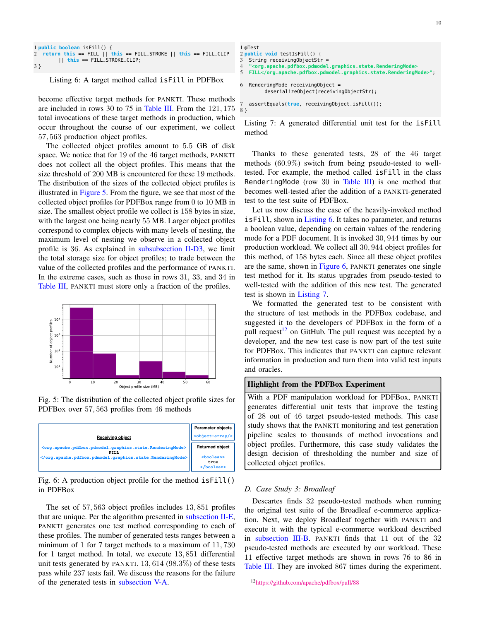```
1 public boolean isFill() {
  2 return this == FILL || this == FILL_STROKE || this == FILL_CLIP
        || this == FILL_STROKE_CLIP;
3 }
```
## Listing 6: A target method called isFill in PDFBox

become effective target methods for PANKTI. These methods are included in rows 30 to 75 in [Table III.](#page-8-0) From the 121, 175 total invocations of these target methods in production, which occur throughout the course of our experiment, we collect 57, 563 production object profiles.

The collected object profiles amount to 5.5 GB of disk space. We notice that for 19 of the 46 target methods, PANKTI does not collect all the object profiles. This means that the size threshold of 200 MB is encountered for these 19 methods. The distribution of the sizes of the collected object profiles is illustrated in [Figure 5.](#page-9-0) From the figure, we see that most of the collected object profiles for PDFBox range from 0 to 10 MB in size. The smallest object profile we collect is 158 bytes in size, with the largest one being nearly 55 MB. Larger object profiles correspond to complex objects with many levels of nesting, the maximum level of nesting we observe in a collected object profile is 36. As explained in [subsubsection II-D3,](#page-3-4) we limit the total storage size for object profiles; to trade between the value of the collected profiles and the performance of PANKTI. In the extreme cases, such as those in rows 31, 33, and 34 in [Table III,](#page-8-0) PANKTI must store only a fraction of the profiles.

<span id="page-9-0"></span>

Fig. 5: The distribution of the collected object profile sizes for PDFBox over 57, 563 profiles from 46 methods

<span id="page-9-2"></span>

Fig. 6: A production object profile for the method isFill() in PDFBox

The set of 57, 563 object profiles includes 13, 851 profiles that are unique. Per the algorithm presented in [subsection II-E,](#page-3-5) PANKTI generates one test method corresponding to each of these profiles. The number of generated tests ranges between a minimum of 1 for 7 target methods to a maximum of 11, 730 for 1 target method. In total, we execute 13, 851 differential unit tests generated by PANKTI. 13, 614 (98.3%) of these tests pass while 237 tests fail. We discuss the reasons for the failure of the generated tests in [subsection V-A.](#page-10-1)

```
1 @Test
2 public void testIsFill() {
3 String receiving Object Str = 4 "<org.apache.pdfbox.pdmodel
4 "<org.apache.pdfbox.pdmodel.graphics.state.RenderingMode>
  5 FILL</org.apache.pdfbox.pdmodel.graphics.state.RenderingMode>";
6 RenderingMode receivingObject =
         deserializeObject(receivingObjectStr);
```
7 assertEquals(**true**, receivingObject.isFill()); 8 }

Listing 7: A generated differential unit test for the isFill method

Thanks to these generated tests, 28 of the 46 target methods (60.9%) switch from being pseudo-tested to welltested. For example, the method called isFill in the class RenderingMode (row 30 in [Table III\)](#page-8-0) is one method that becomes well-tested after the addition of a PANKTI-generated test to the test suite of PDFBox.

Let us now discuss the case of the heavily-invoked method isFill, shown in [Listing 6.](#page-9-1) It takes no parameter, and returns a boolean value, depending on certain values of the rendering mode for a PDF document. It is invoked 30, 944 times by our production workload. We collect all 30, 944 object profiles for this method, of 158 bytes each. Since all these object profiles are the same, shown in [Figure 6,](#page-9-2) PANKTI generates one single test method for it. Its status upgrades from pseudo-tested to well-tested with the addition of this new test. The generated test is shown in [Listing 7.](#page-9-3)

We formatted the generated test to be consistent with the structure of test methods in the PDFBox codebase, and suggested it to the developers of PDFBox in the form of a pull request<sup>[12](#page-9-4)</sup> on GitHub. The pull request was accepted by a developer, and the new test case is now part of the test suite for PDFBox. This indicates that PANKTI can capture relevant information in production and turn them into valid test inputs and oracles.

#### Highlight from the PDFBox Experiment

With a PDF manipulation workload for PDFBox, PANKTI generates differential unit tests that improve the testing of 28 out of 46 target pseudo-tested methods. This case study shows that the PANKTI monitoring and test generation pipeline scales to thousands of method invocations and object profiles. Furthermore, this case study validates the design decision of thresholding the number and size of collected object profiles.

#### *D. Case Study 3: Broadleaf*

Descartes finds 32 pseudo-tested methods when running the original test suite of the Broadleaf e-commerce application. Next, we deploy Broadleaf together with PANKTI and execute it with the typical e-commerce workload described in [subsection III-B.](#page-4-3) PANKTI finds that 11 out of the 32 pseudo-tested methods are executed by our workload. These 11 effective target methods are shown in rows 76 to 86 in [Table III.](#page-8-0) They are invoked 867 times during the experiment.

<span id="page-9-4"></span><sup>12</sup><https://github.com/apache/pdfbox/pull/88>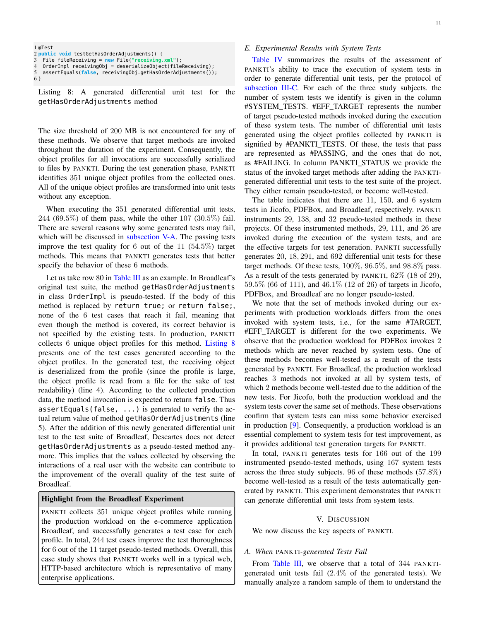```
1 @Test
2 public void testGetHasOrderAdjustments() {
3 File fileReceiving = new File("receiving.xml");
4 OrderImpl receivingObj = deserializeObject(fileReceiving);
  5 assertEquals(false, receivingObj.getHasOrderAdjustments());
6 }
```
Listing 8: A generated differential unit test for the getHasOrderAdjustments method

The size threshold of 200 MB is not encountered for any of these methods. We observe that target methods are invoked throughout the duration of the experiment. Consequently, the object profiles for all invocations are successfully serialized to files by PANKTI. During the test generation phase, PANKTI identifies 351 unique object profiles from the collected ones. All of the unique object profiles are transformed into unit tests without any exception.

When executing the 351 generated differential unit tests, 244 (69.5%) of them pass, while the other 107 (30.5%) fail. There are several reasons why some generated tests may fail, which will be discussed in [subsection V-A.](#page-10-1) The passing tests improve the test quality for 6 out of the 11  $(54.5\%)$  target methods. This means that PANKTI generates tests that better specify the behavior of these 6 methods.

Let us take row 80 in [Table III](#page-8-0) as an example. In Broadleaf's original test suite, the method getHasOrderAdjustments in class OrderImpl is pseudo-tested. If the body of this method is replaced by return true; or return false;, none of the 6 test cases that reach it fail, meaning that even though the method is covered, its correct behavior is not specified by the existing tests. In production, PANKTI collects 6 unique object profiles for this method. [Listing 8](#page-10-3) presents one of the test cases generated according to the object profiles. In the generated test, the receiving object is deserialized from the profile (since the profile is large, the object profile is read from a file for the sake of test readability) (line 4). According to the collected production data, the method invocation is expected to return false. Thus assertEquals(false, ...) is generated to verify the actual return value of method getHasOrderAdjustments (line 5). After the addition of this newly generated differential unit test to the test suite of Broadleaf, Descartes does not detect getHasOrderAdjustments as a pseudo-tested method anymore. This implies that the values collected by observing the interactions of a real user with the website can contribute to the improvement of the overall quality of the test suite of Broadleaf.

# Highlight from the Broadleaf Experiment

PANKTI collects 351 unique object profiles while running the production workload on the e-commerce application Broadleaf, and successfully generates a test case for each profile. In total, 244 test cases improve the test thoroughness for 6 out of the 11 target pseudo-tested methods. Overall, this case study shows that PANKTI works well in a typical web, HTTP-based architecture which is representative of many enterprise applications.

# <span id="page-10-2"></span>*E. Experimental Results with System Tests*

[Table IV](#page-11-0) summarizes the results of the assessment of PANKTI's ability to trace the execution of system tests in order to generate differential unit tests, per the protocol of [subsection III-C.](#page-5-3) For each of the three study subjects. the number of system tests we identify is given in the column #SYSTEM\_TESTS. #EFF\_TARGET represents the number of target pseudo-tested methods invoked during the execution of these system tests. The number of differential unit tests generated using the object profiles collected by PANKTI is signified by #PANKTI\_TESTS. Of these, the tests that pass are represented as #PASSING, and the ones that do not, as #FAILING. In column PANKTI\_STATUS we provide the status of the invoked target methods after adding the PANKTIgenerated differential unit tests to the test suite of the project. They either remain pseudo-tested, or become well-tested.

The table indicates that there are 11, 150, and 6 system tests in Jicofo, PDFBox, and Broadleaf, respectively. PANKTI instruments 29, 138, and 32 pseudo-tested methods in these projects. Of these instrumented methods, 29, 111, and 26 are invoked during the execution of the system tests, and are the effective targets for test generation. PANKTI successfully generates 20, 18, 291, and 692 differential unit tests for these target methods. Of these tests, 100%, 96.5%, and 98.8% pass. As a result of the tests generated by PANKTI,  $62\%$  (18 of 29), 59.5% (66 of 111), and 46.1% (12 of 26) of targets in Jicofo, PDFBox, and Broadleaf are no longer pseudo-tested.

We note that the set of methods invoked during our experiments with production workloads differs from the ones invoked with system tests, i.e., for the same #TARGET, #EFF\_TARGET is different for the two experiments. We observe that the production workload for PDFBox invokes 2 methods which are never reached by system tests. One of these methods becomes well-tested as a result of the tests generated by PANKTI. For Broadleaf, the production workload reaches 3 methods not invoked at all by system tests, of which 2 methods become well-tested due to the addition of the new tests. For Jicofo, both the production workload and the system tests cover the same set of methods. These observations confirm that system tests can miss some behavior exercised in production [\[9\]](#page-14-8). Consequently, a production workload is an essential complement to system tests for test improvement, as it provides additional test generation targets for PANKTI.

In total, PANKTI generates tests for 166 out of the 199 instrumented pseudo-tested methods, using 167 system tests across the three study subjects. 96 of these methods (57.8%) become well-tested as a result of the tests automatically generated by PANKTI. This experiment demonstrates that PANKTI can generate differential unit tests from system tests.

#### V. DISCUSSION

<span id="page-10-0"></span>We now discuss the key aspects of PANKTI.

# <span id="page-10-1"></span>*A. When* PANKTI*-generated Tests Fail*

From [Table III,](#page-8-0) we observe that a total of 344 PANKTIgenerated unit tests fail (2.4% of the generated tests). We manually analyze a random sample of them to understand the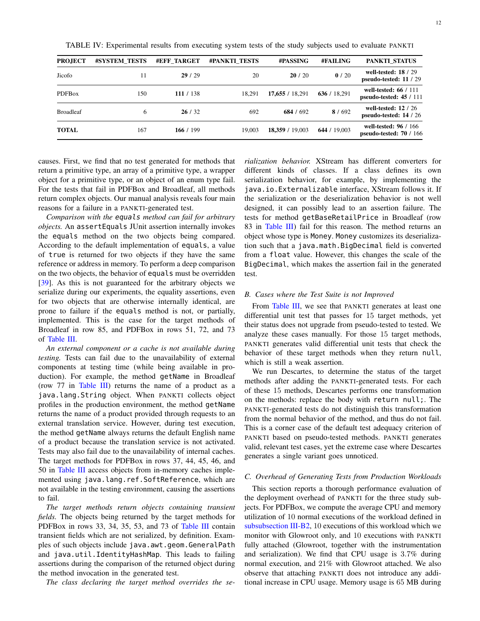| <b>PROJECT</b> | #SYSTEM TESTS | #EFF TARGET | <b>#PANKTI TESTS</b> | #PASSING        | #FAILING     | PANKTI STATUS                                           |
|----------------|---------------|-------------|----------------------|-----------------|--------------|---------------------------------------------------------|
| Jicofo         | 11            | 29/29       | 20                   | 20/20           | 0/20         | well-tested: $18/29$<br>pseudo-tested: $11/29$          |
| <b>PDFBox</b>  | 150           | 111 / 138   | 18.291               | 17,655 / 18,291 | 636 / 18,291 | well-tested: $66 / 111$<br>pseudo-tested: $45/111$      |
| Broadleaf      | 6             | 26/32       | 692                  | 684 / 692       | 8/692        | well-tested: $12/26$<br>pseudo-tested: $14/26$          |
| TOTAL          | 167           | 166 / 199   | 19.003               | 18,359 / 19,003 | 644 / 19,003 | well-tested: 96 / 166<br><b>pseudo-tested: 70 / 166</b> |

<span id="page-11-0"></span>TABLE IV: Experimental results from executing system tests of the study subjects used to evaluate PANKTI

causes. First, we find that no test generated for methods that return a primitive type, an array of a primitive type, a wrapper object for a primitive type, or an object of an enum type fail. For the tests that fail in PDFBox and Broadleaf, all methods return complex objects. Our manual analysis reveals four main reasons for a failure in a PANKTI-generated test.

*Comparison with the* equals *method can fail for arbitrary objects.* An assertEquals JUnit assertion internally invokes the equals method on the two objects being compared. According to the default implementation of equals, a value of true is returned for two objects if they have the same reference or address in memory. To perform a deep comparison on the two objects, the behavior of equals must be overridden [\[39\]](#page-15-19). As this is not guaranteed for the arbitrary objects we serialize during our experiments, the equality assertions, even for two objects that are otherwise internally identical, are prone to failure if the equals method is not, or partially, implemented. This is the case for the target methods of Broadleaf in row 85, and PDFBox in rows 51, 72, and 73 of [Table III.](#page-8-0)

*An external component or a cache is not available during testing.* Tests can fail due to the unavailability of external components at testing time (while being available in production). For example, the method getName in Broadleaf (row 77 in [Table III\)](#page-8-0) returns the name of a product as a java.lang.String object. When PANKTI collects object profiles in the production environment, the method getName returns the name of a product provided through requests to an external translation service. However, during test execution, the method getName always returns the default English name of a product because the translation service is not activated. Tests may also fail due to the unavailability of internal caches. The target methods for PDFBox in rows 37, 44, 45, 46, and 50 in [Table III](#page-8-0) access objects from in-memory caches implemented using java.lang.ref.SoftReference, which are not available in the testing environment, causing the assertions to fail.

*The target methods return objects containing transient fields.* The objects being returned by the target methods for PDFBox in rows 33, 34, 35, 53, and 73 of [Table III](#page-8-0) contain transient fields which are not serialized, by definition. Examples of such objects include java.awt.geom.GeneralPath and java.util.IdentityHashMap. This leads to failing assertions during the comparison of the returned object during the method invocation in the generated test.

*The class declaring the target method overrides the se-*

*rialization behavior.* XStream has different converters for different kinds of classes. If a class defines its own serialization behavior, for example, by implementing the java.io.Externalizable interface, XStream follows it. If the serialization or the deserialization behavior is not well designed, it can possibly lead to an assertion failure. The tests for method getBaseRetailPrice in Broadleaf (row 83 in [Table III\)](#page-8-0) fail for this reason. The method returns an object whose type is Money. Money customizes its deserialization such that a java.math.BigDecimal field is converted from a float value. However, this changes the scale of the BigDecimal, which makes the assertion fail in the generated test.

# *B. Cases where the Test Suite is not Improved*

From [Table III,](#page-8-0) we see that PANKTI generates at least one differential unit test that passes for 15 target methods, yet their status does not upgrade from pseudo-tested to tested. We analyze these cases manually. For those 15 target methods, PANKTI generates valid differential unit tests that check the behavior of these target methods when they return null, which is still a weak assertion.

We run Descartes, to determine the status of the target methods after adding the PANKTI-generated tests. For each of these 15 methods, Descartes performs one transformation on the methods: replace the body with return null;. The PANKTI-generated tests do not distinguish this transformation from the normal behavior of the method, and thus do not fail. This is a corner case of the default test adequacy criterion of PANKTI based on pseudo-tested methods. PANKTI generates valid, relevant test cases, yet the extreme case where Descartes generates a single variant goes unnoticed.

#### *C. Overhead of Generating Tests from Production Workloads*

This section reports a thorough performance evaluation of the deployment overhead of PANKTI for the three study subjects. For PDFBox, we compute the average CPU and memory utilization of 10 normal executions of the workload defined in [subsubsection III-B2,](#page-4-4) 10 executions of this workload which we monitor with Glowroot only, and 10 executions with PANKTI fully attached (Glowroot, together with the instrumentation and serialization). We find that CPU usage is 3.7% during normal execution, and 21% with Glowroot attached. We also observe that attaching PANKTI does not introduce any additional increase in CPU usage. Memory usage is 65 MB during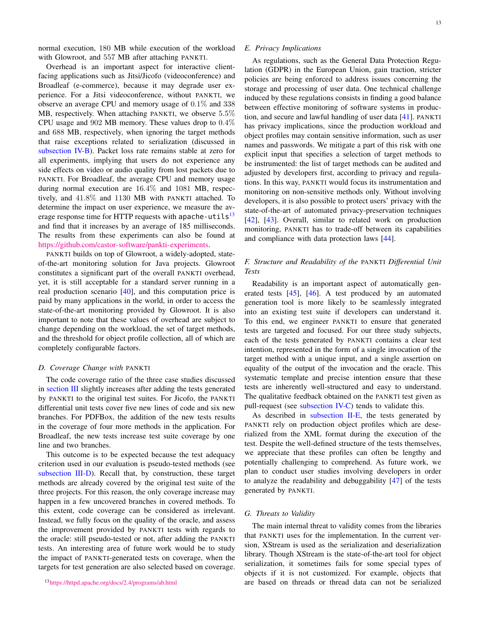normal execution, 180 MB while execution of the workload with Glowroot, and 557 MB after attaching PANKTI.

Overhead is an important aspect for interactive clientfacing applications such as Jitsi/Jicofo (videoconference) and Broadleaf (e-commerce), because it may degrade user experience. For a Jitsi videoconference, without PANKTI, we observe an average CPU and memory usage of 0.1% and 338 MB, respectively. When attaching PANKTI, we observe 5.5% CPU usage and 902 MB memory. These values drop to 0.4% and 688 MB, respectively, when ignoring the target methods that raise exceptions related to serialization (discussed in [subsection IV-B\)](#page-6-2). Packet loss rate remains stable at zero for all experiments, implying that users do not experience any side effects on video or audio quality from lost packets due to PANKTI. For Broadleaf, the average CPU and memory usage during normal execution are 16.4% and 1081 MB, respectively, and 41.8% and 1130 MB with PANKTI attached. To determine the impact on user experience, we measure the av-erage response time for HTTP requests with apache-utils<sup>[13](#page-12-0)</sup> and find that it increases by an average of 185 milliseconds. The results from these experiments can also be found at [https://github.com/castor-software/pankti-experiments.](https://github.com/castor-software/pankti-experiments)

PANKTI builds on top of Glowroot, a widely-adopted, stateof-the-art monitoring solution for Java projects. Glowroot constitutes a significant part of the overall PANKTI overhead, yet, it is still acceptable for a standard server running in a real production scenario [\[40\]](#page-15-20), and this computation price is paid by many applications in the world, in order to access the state-of-the-art monitoring provided by Glowroot. It is also important to note that these values of overhead are subject to change depending on the workload, the set of target methods, and the threshold for object profile collection, all of which are completely configurable factors.

#### *D. Coverage Change with* PANKTI

The code coverage ratio of the three case studies discussed in [section III](#page-4-0) slightly increases after adding the tests generated by PANKTI to the original test suites. For Jicofo, the PANKTI differential unit tests cover five new lines of code and six new branches. For PDFBox, the addition of the new tests results in the coverage of four more methods in the application. For Broadleaf, the new tests increase test suite coverage by one line and two branches.

<span id="page-12-0"></span>This outcome is to be expected because the test adequacy criterion used in our evaluation is pseudo-tested methods (see [subsection III-D\)](#page-5-4). Recall that, by construction, these target methods are already covered by the original test suite of the three projects. For this reason, the only coverage increase may happen in a few uncovered branches in covered methods. To this extent, code coverage can be considered as irrelevant. Instead, we fully focus on the quality of the oracle, and assess the improvement provided by PANKTI tests with regards to the oracle: still pseudo-tested or not, after adding the PANKTI tests. An interesting area of future work would be to study the impact of PANKTI-generated tests on coverage, when the targets for test generation are also selected based on coverage.

# *E. Privacy Implications*

As regulations, such as the General Data Protection Regulation (GDPR) in the European Union, gain traction, stricter policies are being enforced to address issues concerning the storage and processing of user data. One technical challenge induced by these regulations consists in finding a good balance between effective monitoring of software systems in production, and secure and lawful handling of user data [\[41\]](#page-15-21). PANKTI has privacy implications, since the production workload and object profiles may contain sensitive information, such as user names and passwords. We mitigate a part of this risk with one explicit input that specifies a selection of target methods to be instrumented: the list of target methods can be audited and adjusted by developers first, according to privacy and regulations. In this way, PANKTI would focus its instrumentation and monitoring on non-sensitive methods only. Without involving developers, it is also possible to protect users' privacy with the state-of-the-art of automated privacy-preservation techniques [\[42\]](#page-15-22), [\[43\]](#page-15-23). Overall, similar to related work on production monitoring, PANKTI has to trade-off between its capabilities and compliance with data protection laws [\[44\]](#page-15-24).

# *F. Structure and Readability of the* PANKTI *Differential Unit Tests*

Readability is an important aspect of automatically generated tests [\[45\]](#page-15-25), [\[46\]](#page-15-26). A test produced by an automated generation tool is more likely to be seamlessly integrated into an existing test suite if developers can understand it. To this end, we engineer PANKTI to ensure that generated tests are targeted and focused. For our three study subjects, each of the tests generated by PANKTI contains a clear test intention, represented in the form of a single invocation of the target method with a unique input, and a single assertion on equality of the output of the invocation and the oracle. This systematic template and precise intention ensure that these tests are inherently well-structured and easy to understand. The qualitative feedback obtained on the PANKTI test given as pull-request (see [subsection IV-C\)](#page-7-4) tends to validate this.

As described in [subsection II-E,](#page-3-5) the tests generated by PANKTI rely on production object profiles which are deserialized from the XML format during the execution of the test. Despite the well-defined structure of the tests themselves, we appreciate that these profiles can often be lengthy and potentially challenging to comprehend. As future work, we plan to conduct user studies involving developers in order to analyze the readability and debuggability [\[47\]](#page-15-27) of the tests generated by PANKTI.

# *G. Threats to Validity*

The main internal threat to validity comes from the libraries that PANKTI uses for the implementation. In the current version, XStream is used as the serialization and deserialization library. Though XStream is the state-of-the-art tool for object serialization, it sometimes fails for some special types of objects if it is not customized. For example, objects that are based on threads or thread data can not be serialized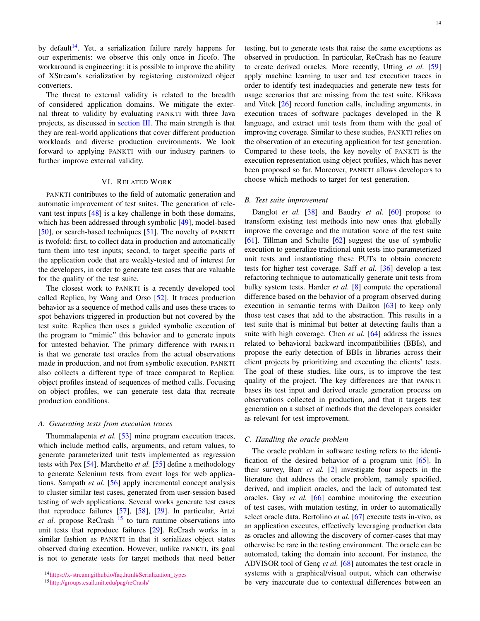by default<sup>[14](#page-13-1)</sup>. Yet, a serialization failure rarely happens for our experiments: we observe this only once in Jicofo. The workaround is engineering: it is possible to improve the ability of XStream's serialization by registering customized object converters.

The threat to external validity is related to the breadth of considered application domains. We mitigate the external threat to validity by evaluating PANKTI with three Java projects, as discussed in [section III.](#page-4-0) The main strength is that they are real-world applications that cover different production workloads and diverse production environments. We look forward to applying PANKTI with our industry partners to further improve external validity.

# VI. RELATED WORK

<span id="page-13-0"></span>PANKTI contributes to the field of automatic generation and automatic improvement of test suites. The generation of relevant test inputs [\[48\]](#page-15-28) is a key challenge in both these domains, which has been addressed through symbolic [\[49\]](#page-15-29), model-based [\[50\]](#page-15-30), or search-based techniques [\[51\]](#page-15-31). The novelty of PANKTI is twofold: first, to collect data in production and automatically turn them into test inputs; second, to target specific parts of the application code that are weakly-tested and of interest for the developers, in order to generate test cases that are valuable for the quality of the test suite.

The closest work to PANKTI is a recently developed tool called Replica, by Wang and Orso [\[52\]](#page-15-32). It traces production behavior as a sequence of method calls and uses these traces to spot behaviors triggered in production but not covered by the test suite. Replica then uses a guided symbolic execution of the program to "mimic" this behavior and to generate inputs for untested behavior. The primary difference with PANKTI is that we generate test oracles from the actual observations made in production, and not from symbolic execution. PANKTI also collects a different type of trace compared to Replica: object profiles instead of sequences of method calls. Focusing on object profiles, we can generate test data that recreate production conditions.

#### *A. Generating tests from execution traces*

Thummalapenta *et al.* [\[53\]](#page-15-33) mine program execution traces, which include method calls, arguments, and return values, to generate parameterized unit tests implemented as regression tests with Pex [\[54\]](#page-15-34). Marchetto *et al.* [\[55\]](#page-15-35) define a methodology to generate Selenium tests from event logs for web applications. Sampath *et al.* [\[56\]](#page-15-36) apply incremental concept analysis to cluster similar test cases, generated from user-session based testing of web applications. Several works generate test cases that reproduce failures [\[57\]](#page-15-37), [\[58\]](#page-15-38), [\[29\]](#page-15-9). In particular, Artzi *et al.* propose ReCrash<sup>[15](#page-13-2)</sup> to turn runtime observations into unit tests that reproduce failures [\[29\]](#page-15-9). ReCrash works in a similar fashion as PANKTI in that it serializes object states observed during execution. However, unlike PANKTI, its goal is not to generate tests for target methods that need better testing, but to generate tests that raise the same exceptions as observed in production. In particular, ReCrash has no feature to create derived oracles. More recently, Utting *et al.* [\[59\]](#page-15-39) apply machine learning to user and test execution traces in order to identify test inadequacies and generate new tests for usage scenarios that are missing from the test suite. Křikava and Vitek [\[26\]](#page-15-6) record function calls, including arguments, in execution traces of software packages developed in the R language, and extract unit tests from them with the goal of improving coverage. Similar to these studies, PANKTI relies on the observation of an executing application for test generation. Compared to these tools, the key novelty of PANKTI is the execution representation using object profiles, which has never been proposed so far. Moreover, PANKTI allows developers to choose which methods to target for test generation.

#### *B. Test suite improvement*

Danglot *et al.* [\[38\]](#page-15-18) and Baudry *et al.* [\[60\]](#page-15-40) propose to transform existing test methods into new ones that globally improve the coverage and the mutation score of the test suite [\[61\]](#page-15-41). Tillman and Schulte [\[62\]](#page-15-42) suggest the use of symbolic execution to generalize traditional unit tests into parameterized unit tests and instantiating these PUTs to obtain concrete tests for higher test coverage. Saff *et al.* [\[36\]](#page-15-16) develop a test refactoring technique to automatically generate unit tests from bulky system tests. Harder *et al.* [\[8\]](#page-14-7) compute the operational difference based on the behavior of a program observed during execution in semantic terms with Daikon [\[63\]](#page-15-43) to keep only those test cases that add to the abstraction. This results in a test suite that is minimal but better at detecting faults than a suite with high coverage. Chen *et al.* [\[64\]](#page-16-0) address the issues related to behavioral backward incompatibilities (BBIs), and propose the early detection of BBIs in libraries across their client projects by prioritizing and executing the clients' tests. The goal of these studies, like ours, is to improve the test quality of the project. The key differences are that PANKTI bases its test input and derived oracle generation process on observations collected in production, and that it targets test generation on a subset of methods that the developers consider as relevant for test improvement.

# *C. Handling the oracle problem*

The oracle problem in software testing refers to the identification of the desired behavior of a program unit  $[65]$ . In their survey, Barr *et al.* [\[2\]](#page-14-1) investigate four aspects in the literature that address the oracle problem, namely specified, derived, and implicit oracles, and the lack of automated test oracles. Gay *et al.* [\[66\]](#page-16-2) combine monitoring the execution of test cases, with mutation testing, in order to automatically select oracle data. Bertolino *et al.* [\[67\]](#page-16-3) execute tests in-vivo, as an application executes, effectively leveraging production data as oracles and allowing the discovery of corner-cases that may otherwise be rare in the testing environment. The oracle can be automated, taking the domain into account. For instance, the ADVISOR tool of Genç *et al.* [\[68\]](#page-16-4) automates the test oracle in systems with a graphical/visual output, which can otherwise be very inaccurate due to contextual differences between an

<span id="page-13-1"></span><sup>14</sup>[https://x-stream.github.io/faq.html#Serialization\\_types](https://x-stream.github.io/faq.html#Serialization_types)

<span id="page-13-2"></span><sup>15</sup><http://groups.csail.mit.edu/pag/reCrash/>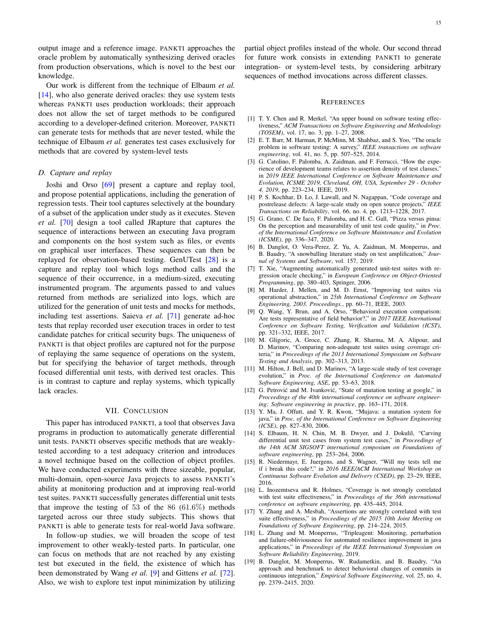output image and a reference image. PANKTI approaches the oracle problem by automatically synthesizing derived oracles from production observations, which is novel to the best our knowledge.

Our work is different from the technique of Elbaum *et al.* [\[14\]](#page-14-13), who also generate derived oracles: they use system tests whereas PANKTI uses production workloads; their approach does not allow the set of target methods to be configured according to a developer-defined criterion. Moreover, PANKTI can generate tests for methods that are never tested, while the technique of Elbaum *et al.* generates test cases exclusively for methods that are covered by system-level tests

# *D. Capture and replay*

Joshi and Orso [\[69\]](#page-16-5) present a capture and replay tool, and propose potential applications, including the generation of regression tests. Their tool captures selectively at the boundary of a subset of the application under study as it executes. Steven *et al.* [\[70\]](#page-16-6) design a tool called JRapture that captures the sequence of interactions between an executing Java program and components on the host system such as files, or events on graphical user interfaces. These sequences can then be replayed for observation-based testing. GenUTest [\[28\]](#page-15-8) is a capture and replay tool which logs method calls and the sequence of their occurrence, in a medium-sized, executing instrumented program. The arguments passed to and values returned from methods are serialized into logs, which are utilized for the generation of unit tests and mocks for methods, including test assertions. Saieva *et al.* [\[71\]](#page-16-7) generate ad-hoc tests that replay recorded user execution traces in order to test candidate patches for critical security bugs. The uniqueness of PANKTI is that object profiles are captured not for the purpose of replaying the same sequence of operations on the system, but for specifying the behavior of target methods, through focused differential unit tests, with derived test oracles. This is in contrast to capture and replay systems, which typically lack oracles.

# VII. CONCLUSION

<span id="page-14-15"></span>This paper has introduced PANKTI, a tool that observes Java programs in production to automatically generate differential unit tests. PANKTI observes specific methods that are weaklytested according to a test adequacy criterion and introduces a novel technique based on the collection of object profiles. We have conducted experiments with three sizeable, popular, multi-domain, open-source Java projects to assess PANKTI's ability at monitoring production and at improving real-world test suites. PANKTI successfully generates differential unit tests that improve the testing of 53 of the 86 (61.6%) methods targeted across our three study subjects. This shows that PANKTI is able to generate tests for real-world Java software.

In follow-up studies, we will broaden the scope of test improvement to other weakly-tested parts. In particular, one can focus on methods that are not reached by any existing test but executed in the field, the existence of which has been demonstrated by Wang *et al.* [\[9\]](#page-14-8) and Gittens *et al.* [\[72\]](#page-16-8). Also, we wish to explore test input minimization by utilizing

partial object profiles instead of the whole. Our second thread for future work consists in extending PANKTI to generate integration- or system-level tests, by considering arbitrary sequences of method invocations across different classes.

#### **REFERENCES**

- <span id="page-14-0"></span>[1] T. Y. Chen and R. Merkel, "An upper bound on software testing effectiveness," *ACM Transactions on Software Engineering and Methodology (TOSEM)*, vol. 17, no. 3, pp. 1–27, 2008.
- <span id="page-14-1"></span>[2] E. T. Barr, M. Harman, P. McMinn, M. Shahbaz, and S. Yoo, "The oracle problem in software testing: A survey," *IEEE transactions on software engineering*, vol. 41, no. 5, pp. 507–525, 2014.
- <span id="page-14-2"></span>[3] G. Catolino, F. Palomba, A. Zaidman, and F. Ferrucci, "How the experience of development teams relates to assertion density of test classes," in *2019 IEEE International Conference on Software Maintenance and Evolution, ICSME 2019, Cleveland, OH, USA, September 29 - October 4, 2019*, pp. 223–234, IEEE, 2019.
- <span id="page-14-3"></span>[4] P. S. Kochhar, D. Lo, J. Lawall, and N. Nagappan, "Code coverage and postrelease defects: A large-scale study on open source projects," *IEEE Transactions on Reliability*, vol. 66, no. 4, pp. 1213–1228, 2017.
- <span id="page-14-4"></span>[5] G. Grano, C. De Iaco, F. Palomba, and H. C. Gall, "Pizza versus pinsa: On the perception and measurability of unit test code quality," in *Proc. of the International Conference on Software Maintenance and Evolution (ICSME)*, pp. 336–347, 2020.
- <span id="page-14-5"></span>[6] B. Danglot, O. Vera-Perez, Z. Yu, A. Zaidman, M. Monperrus, and B. Baudry, "A snowballing literature study on test amplification," *Journal of Systems and Software*, vol. 157, 2019.
- <span id="page-14-6"></span>[7] T. Xie, "Augmenting automatically generated unit-test suites with regression oracle checking," in *European Conference on Object-Oriented Programming*, pp. 380–403, Springer, 2006.
- <span id="page-14-7"></span>[8] M. Harder, J. Mellen, and M. D. Ernst, "Improving test suites via operational abstraction," in *25th International Conference on Software Engineering, 2003. Proceedings.*, pp. 60–71, IEEE, 2003.
- <span id="page-14-8"></span>[9] Q. Wang, Y. Brun, and A. Orso, "Behavioral execution comparison: Are tests representative of field behavior?," in *2017 IEEE International Conference on Software Testing, Verification and Validation (ICST)*, pp. 321–332, IEEE, 2017.
- <span id="page-14-9"></span>[10] M. Gligoric, A. Groce, C. Zhang, R. Sharma, M. A. Alipour, and D. Marinov, "Comparing non-adequate test suites using coverage criteria," in *Proceedings of the 2013 International Symposium on Software Testing and Analysis*, pp. 302–313, 2013.
- <span id="page-14-10"></span>[11] M. Hilton, J. Bell, and D. Marinov, "A large-scale study of test coverage evolution," in *Proc. of the International Conference on Automated Software Engineering, ASE*, pp. 53–63, 2018.
- <span id="page-14-11"></span>[12] G. Petrović and M. Ivanković, "State of mutation testing at google," in *Proceedings of the 40th international conference on software engineering: Software engineering in practice*, pp. 163–171, 2018.
- <span id="page-14-12"></span>[13] Y. Ma, J. Offutt, and Y. R. Kwon, "Mujava: a mutation system for java," in *Proc. of the International Conference on Software Engineering (ICSE)*, pp. 827–830, 2006.
- <span id="page-14-13"></span>[14] S. Elbaum, H. N. Chin, M. B. Dwyer, and J. Dokulil, "Carving differential unit test cases from system test cases," in *Proceedings of the 14th ACM SIGSOFT international symposium on Foundations of software engineering*, pp. 253–264, 2006.
- <span id="page-14-14"></span>[15] R. Niedermayr, E. Juergens, and S. Wagner, "Will my tests tell me if i break this code?," in *2016 IEEE/ACM International Workshop on Continuous Software Evolution and Delivery (CSED)*, pp. 23–29, IEEE, 2016.
- <span id="page-14-16"></span>[16] L. Inozemtseva and R. Holmes, "Coverage is not strongly correlated with test suite effectiveness," in *Proceedings of the 36th international conference on software engineering*, pp. 435–445, 2014.
- <span id="page-14-17"></span>[17] Y. Zhang and A. Mesbah, "Assertions are strongly correlated with test suite effectiveness," in *Proceedings of the 2015 10th Joint Meeting on Foundations of Software Engineering*, pp. 214–224, 2015.
- <span id="page-14-18"></span>[18] L. Zhang and M. Monperrus, "Tripleagent: Monitoring, perturbation and failure-obliviousness for automated resilience improvement in java applications," in *Proceedings of the IEEE International Symposium on Software Reliability Engineering*, 2019.
- <span id="page-14-19"></span>[19] B. Danglot, M. Monperrus, W. Rudametkin, and B. Baudry, "An approach and benchmark to detect behavioral changes of commits in continuous integration," *Empirical Software Engineering*, vol. 25, no. 4, pp. 2379–2415, 2020.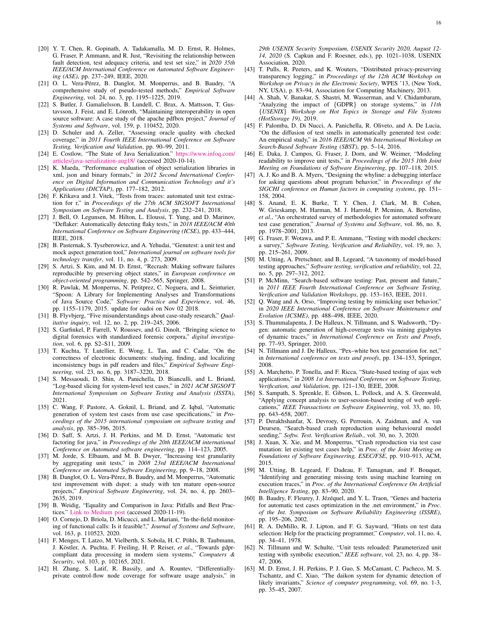- <span id="page-15-0"></span>[20] Y. T. Chen, R. Gopinath, A. Tadakamalla, M. D. Ernst, R. Holmes, G. Fraser, P. Ammann, and R. Just, "Revisiting the relationship between fault detection, test adequacy criteria, and test set size," in *2020 35th IEEE/ACM International Conference on Automated Software Engineering (ASE)*, pp. 237–249, IEEE, 2020.
- <span id="page-15-1"></span>[21] O. L. Vera-Pérez, B. Danglot, M. Monperrus, and B. Baudry, "A comprehensive study of pseudo-tested methods," *Empirical Software Engineering*, vol. 24, no. 3, pp. 1195–1225, 2019.
- <span id="page-15-2"></span>[22] S. Butler, J. Gamalielsson, B. Lundell, C. Brax, A. Mattsson, T. Gustavsson, J. Feist, and E. Lönroth, "Maintaining interoperability in open source software: A case study of the apache pdfbox project," *Journal of Systems and Software*, vol. 159, p. 110452, 2020.
- <span id="page-15-3"></span>[23] D. Schuler and A. Zeller, "Assessing oracle quality with checked coverage," in *2011 Fourth IEEE International Conference on Software Testing, Verification and Validation*, pp. 90–99, 2011.
- <span id="page-15-4"></span>[24] E. Costlow, "The State of Java Serialization." [https://www.infoq.com/](https://www.infoq.com/articles/java-serialization-aug18/) [articles/java-serialization-aug18/](https://www.infoq.com/articles/java-serialization-aug18/) (accessed 2020-10-14).
- <span id="page-15-5"></span>[25] K. Maeda, "Performance evaluation of object serialization libraries in xml, json and binary formats," in *2012 Second International Conference on Digital Information and Communication Technology and it's Applications (DICTAP)*, pp. 177–182, 2012.
- <span id="page-15-6"></span>[26] F. Křikava and J. Vitek, "Tests from traces: automated unit test extraction for r," in *Proceedings of the 27th ACM SIGSOFT International Symposium on Software Testing and Analysis*, pp. 232–241, 2018.
- <span id="page-15-7"></span>[27] J. Bell, O. Legunsen, M. Hilton, L. Eloussi, T. Yung, and D. Marinov, "Deflaker: Automatically detecting flaky tests," in *2018 IEEE/ACM 40th International Conference on Software Engineering (ICSE)*, pp. 433–444, IEEE, 2018.
- <span id="page-15-8"></span>[28] B. Pasternak, S. Tyszberowicz, and A. Yehudai, "Genutest: a unit test and mock aspect generation tool," *International journal on software tools for technology transfer*, vol. 11, no. 4, p. 273, 2009.
- <span id="page-15-9"></span>[29] S. Artzi, S. Kim, and M. D. Ernst, "Recrash: Making software failures reproducible by preserving object states," in *European conference on object-oriented programming*, pp. 542–565, Springer, 2008.
- <span id="page-15-10"></span>[30] R. Pawlak, M. Monperrus, N. Petitprez, C. Noguera, and L. Seinturier, "Spoon: A Library for Implementing Analyses and Transformations of Java Source Code," *Software: Practice and Experience*, vol. 46, pp. 1155–1179, 2015. update for oadoi on Nov 02 2018.
- <span id="page-15-11"></span>[31] B. Flyvbjerg, "Five misunderstandings about case-study research," *Qualitative inquiry*, vol. 12, no. 2, pp. 219–245, 2006.
- <span id="page-15-12"></span>[32] S. Garfinkel, P. Farrell, V. Roussev, and G. Dinolt, "Bringing science to digital forensics with standardized forensic corpora," *digital investigation*, vol. 6, pp. S2–S11, 2009.
- <span id="page-15-13"></span>[33] T. Kuchta, T. Lutellier, E. Wong, L. Tan, and C. Cadar, "On the correctness of electronic documents: studying, finding, and localizing inconsistency bugs in pdf readers and files," *Empirical Software Engineering*, vol. 23, no. 6, pp. 3187–3220, 2018.
- <span id="page-15-14"></span>[34] S. Messaoudi, D. Shin, A. Panichella, D. Bianculli, and L. Briand, "Log-based slicing for system-level test cases," in *2021 ACM SIGSOFT International Symposium on Software Testing and Analysis (ISSTA)*, 2021.
- <span id="page-15-15"></span>[35] C. Wang, F. Pastore, A. Goknil, L. Briand, and Z. Iqbal, "Automatic generation of system test cases from use case specifications," in *Proceedings of the 2015 international symposium on software testing and analysis*, pp. 385–396, 2015.
- <span id="page-15-16"></span>[36] D. Saff, S. Artzi, J. H. Perkins, and M. D. Ernst, "Automatic test factoring for java," in *Proceedings of the 20th IEEE/ACM international Conference on Automated software engineering*, pp. 114–123, 2005.
- <span id="page-15-17"></span>[37] M. Jorde, S. Elbaum, and M. B. Dwyer, "Increasing test granularity by aggregating unit tests," in *2008 23rd IEEE/ACM International Conference on Automated Software Engineering*, pp. 9–18, 2008.
- <span id="page-15-18"></span>[38] B. Danglot, O. L. Vera-Pérez, B. Baudry, and M. Monperrus, "Automatic test improvement with dspot: a study with ten mature open-source projects," *Empirical Software Engineering*, vol. 24, no. 4, pp. 2603– 2635, 2019.
- <span id="page-15-19"></span>[39] B. Weidig, "Equality and Comparison in Java: Pitfalls and Best Practices." [Link to Medium post](https://medium.com/better-programming/equality-and-comparison-in-java-pitfalls-and-best-practices-96b713e7009) (accessed 2020-11-19).
- <span id="page-15-20"></span>[40] O. Cornejo, D. Briola, D. Micucci, and L. Mariani, "In-the-field monitoring of functional calls: Is it feasible?," *Journal of Systems and Software*, vol. 163, p. 110523, 2020.
- <span id="page-15-21"></span>[41] F. Menges, T. Latzo, M. Vielberth, S. Sobola, H. C. Pöhls, B. Taubmann, J. Köstler, A. Puchta, F. Freiling, H. P. Reiser, *et al.*, "Towards gdprcompliant data processing in modern siem systems," *Computers & Security*, vol. 103, p. 102165, 2021.
- <span id="page-15-22"></span>[42] H. Zhang, S. Latif, R. Bassily, and A. Rountev, "Differentiallyprivate control-flow node coverage for software usage analysis," in

*29th USENIX Security Symposium, USENIX Security 2020, August 12- 14, 2020* (S. Capkun and F. Roesner, eds.), pp. 1021–1038, USENIX Association, 2020.

- <span id="page-15-23"></span>[43] T. Pulls, R. Peeters, and K. Wouters, "Distributed privacy-preserving transparency logging," in *Proceedings of the 12th ACM Workshop on Workshop on Privacy in the Electronic Society*, WPES '13, (New York, NY, USA), p. 83–94, Association for Computing Machinery, 2013.
- <span id="page-15-24"></span>[44] A. Shah, V. Banakar, S. Shastri, M. Wasserman, and V. Chidambaram, "Analyzing the impact of {GDPR} on storage systems," in *11th* {*USENIX*} *Workshop on Hot Topics in Storage and File Systems (HotStorage 19)*, 2019.
- <span id="page-15-25"></span>[45] F. Palomba, D. Di Nucci, A. Panichella, R. Oliveto, and A. De Lucia, "On the diffusion of test smells in automatically generated test code: An empirical study," in *2016 IEEE/ACM 9th International Workshop on Search-Based Software Testing (SBST)*, pp. 5–14, 2016.
- <span id="page-15-26"></span>[46] E. Daka, J. Campos, G. Fraser, J. Dorn, and W. Weimer, "Modeling readability to improve unit tests," in *Proceedings of the 2015 10th Joint Meeting on Foundations of Software Engineering*, pp. 107–118, 2015.
- <span id="page-15-27"></span>[47] A. J. Ko and B. A. Myers, "Designing the whyline: a debugging interface for asking questions about program behavior," in *Proceedings of the SIGCHI conference on Human factors in computing systems*, pp. 151– 158, 2004.
- <span id="page-15-28"></span>[48] S. Anand, E. K. Burke, T. Y. Chen, J. Clark, M. B. Cohen, W. Grieskamp, M. Harman, M. J. Harrold, P. Mcminn, A. Bertolino, *et al.*, "An orchestrated survey of methodologies for automated software test case generation," *Journal of Systems and Software*, vol. 86, no. 8, pp. 1978–2001, 2013.
- <span id="page-15-29"></span>[49] G. Fraser, F. Wotawa, and P. E. Ammann, "Testing with model checkers: a survey," *Software Testing, Verification and Reliability*, vol. 19, no. 3, pp. 215–261, 2009.
- <span id="page-15-30"></span>[50] M. Utting, A. Pretschner, and B. Legeard, "A taxonomy of model-based testing approaches," *Software testing, verification and reliability*, vol. 22, no. 5, pp. 297–312, 2012.
- <span id="page-15-31"></span>[51] P. McMinn, "Search-based software testing: Past, present and future," in *2011 IEEE Fourth International Conference on Software Testing, Verification and Validation Workshops*, pp. 153–163, IEEE, 2011.
- <span id="page-15-32"></span>[52] Q. Wang and A. Orso, "Improving testing by mimicking user behavior," in *2020 IEEE International Conference on Software Maintenance and Evolution (ICSME)*, pp. 488–498, IEEE, 2020.
- <span id="page-15-33"></span>[53] S. Thummalapenta, J. De Halleux, N. Tillmann, and S. Wadsworth, "Dygen: automatic generation of high-coverage tests via mining gigabytes of dynamic traces," in *International Conference on Tests and Proofs*, pp. 77–93, Springer, 2010.
- <span id="page-15-34"></span>[54] N. Tillmann and J. De Halleux, "Pex–white box test generation for. net," in *International conference on tests and proofs*, pp. 134–153, Springer, 2008.
- <span id="page-15-35"></span>[55] A. Marchetto, P. Tonella, and F. Ricca, "State-based testing of ajax web applications," in *2008 1st International Conference on Software Testing, Verification, and Validation*, pp. 121–130, IEEE, 2008.
- <span id="page-15-36"></span>[56] S. Sampath, S. Sprenkle, E. Gibson, L. Pollock, and A. S. Greenwald, "Applying concept analysis to user-session-based testing of web applications," *IEEE Transactions on Software Engineering*, vol. 33, no. 10, pp. 643–658, 2007.
- <span id="page-15-37"></span>[57] P. Derakhshanfar, X. Devroey, G. Perrouin, A. Zaidman, and A. van Deursen, "Search-based crash reproduction using behavioural model seeding," *Softw. Test. Verification Reliab.*, vol. 30, no. 3, 2020.
- <span id="page-15-38"></span>[58] J. Xuan, X. Xie, and M. Monperrus, "Crash reproduction via test case mutation: let existing test cases help," in *Proc. of the Joint Meeting on Foundations of Software Engineering, ESEC/FSE*, pp. 910–913, ACM, 2015.
- <span id="page-15-39"></span>[59] M. Utting, B. Legeard, F. Dadeau, F. Tamagnan, and F. Bouquet, "Identifying and generating missing tests using machine learning on execution traces," in *Proc. of the International Conference On Artificial Intelligence Testing*, pp. 83–90, 2020.
- <span id="page-15-40"></span>[60] B. Baudry, F. Fleurey, J. Jézéquel, and Y. L. Traon, "Genes and bacteria for automatic test cases optimization in the .net environment," in *Proc. of the Int. Symposium on Software Reliability Engineering (ISSRE)*, pp. 195–206, 2002.
- <span id="page-15-41"></span>[61] R. A. DeMillo, R. J. Lipton, and F. G. Sayward, "Hints on test data selection: Help for the practicing programmer," *Computer*, vol. 11, no. 4, pp. 34–41, 1978.
- <span id="page-15-42"></span>[62] N. Tillmann and W. Schulte, "Unit tests reloaded: Parameterized unit testing with symbolic execution," *IEEE software*, vol. 23, no. 4, pp. 38– 47, 2006.
- <span id="page-15-43"></span>[63] M. D. Ernst, J. H. Perkins, P. J. Guo, S. McCamant, C. Pacheco, M. S. Tschantz, and C. Xiao, "The daikon system for dynamic detection of likely invariants," *Science of computer programming*, vol. 69, no. 1-3, pp. 35–45, 2007.